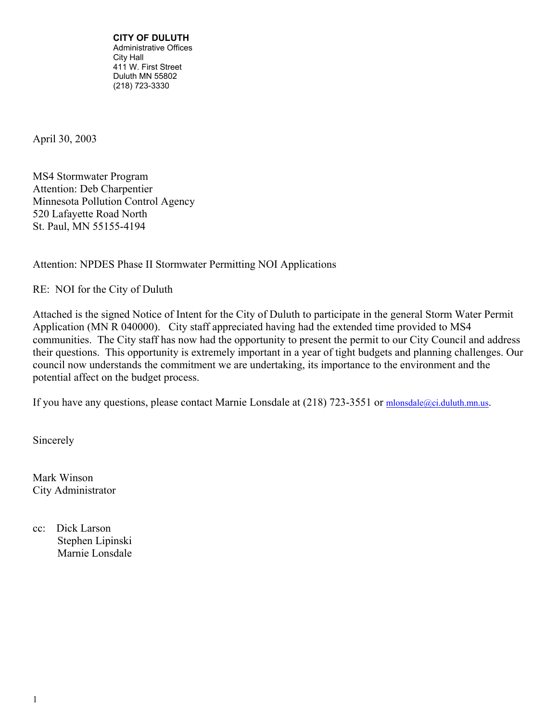**CITY OF DULUTH**  Administrative Offices City Hall 411 W. First Street Duluth MN 55802 (218) 723-3330

April 30, 2003

MS4 Stormwater Program Attention: Deb Charpentier Minnesota Pollution Control Agency 520 Lafayette Road North St. Paul, MN 55155-4194

Attention: NPDES Phase II Stormwater Permitting NOI Applications

RE: NOI for the City of Duluth

Attached is the signed Notice of Intent for the City of Duluth to participate in the general Storm Water Permit Application (MN R 040000). City staff appreciated having had the extended time provided to MS4 communities. The City staff has now had the opportunity to present the permit to our City Council and address their questions. This opportunity is extremely important in a year of tight budgets and planning challenges. Our council now understands the commitment we are undertaking, its importance to the environment and the potential affect on the budget process.

If you have any questions, please contact Marnie Lonsdale at (218) 723-3551 or [mlonsdale@ci.duluth.mn.us](mailto:mlonsdale@ci.duluth.mn.us).

Sincerely

Mark Winson City Administrator

cc: Dick Larson Stephen Lipinski Marnie Lonsdale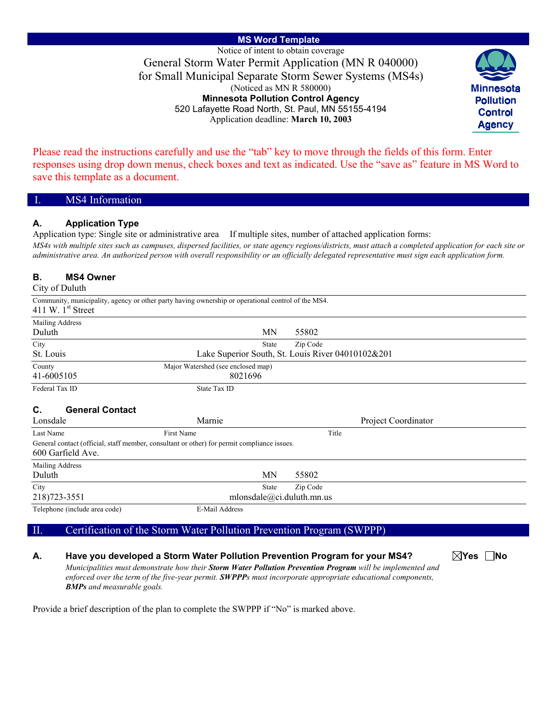**MS Word Template**  Notice of intent to obtain coverage General Storm Water Permit Application (MN R 040000) for Small Municipal Separate Storm Sewer Systems (MS4s) (Noticed as MN R 580000) **Minnesota Pollution Control Agency** 520 Lafayette Road North, St. Paul, MN 55155-4194 Application deadline: **March 10, 2003**



Please read the instructions carefully and use the "tab" key to move through the fields of this form. Enter responses using drop down menus, check boxes and text as indicated. Use the "save as" feature in MS Word to save this template as a document.

| L | MS4 Information |  |
|---|-----------------|--|
|   |                 |  |

#### **A. Application Type**

Application type: Single site or administrative area If multiple sites, number of attached application forms: *MS4s with multiple sites such as campuses, dispersed facilities, or state agency regions/districts, must attach a completed application for each site or* 

*administrative area. An authorized person with overall responsibility or an officially delegated representative must sign each application form.* 

#### **B. MS4 Owner**

City of Duluth

| 411 W. $1st$ Street                      | Community, municipality, agency or other party having ownership or operational control of the MS4. |                                                   |
|------------------------------------------|----------------------------------------------------------------------------------------------------|---------------------------------------------------|
| Mailing Address                          |                                                                                                    |                                                   |
| Duluth                                   | MN                                                                                                 | 55802                                             |
| City                                     | State                                                                                              | Zip Code                                          |
| St. Louis                                |                                                                                                    | Lake Superior South, St. Louis River 04010102&201 |
| County                                   | Major Watershed (see enclosed map)                                                                 |                                                   |
| 41-6005105                               | 8021696                                                                                            |                                                   |
| Federal Tax ID                           | State Tax ID                                                                                       |                                                   |
| <b>General Contact</b><br>C.<br>Lonsdale | Marnie                                                                                             | Project Coordinator                               |
| Last Name                                | First Name                                                                                         | Title                                             |
| 600 Garfield Ave.                        | General contact (official, staff member, consultant or other) for permit compliance issues.        |                                                   |
| Mailing Address                          |                                                                                                    |                                                   |
| Duluth                                   | MN                                                                                                 | 55802                                             |
| City                                     | <b>State</b>                                                                                       | Zip Code                                          |
| 218) 723-3551                            |                                                                                                    | mlonsdale@ci.duluth.mn.us                         |
| Telephone (include area code)            | E-Mail Address                                                                                     |                                                   |

### II. Certification of the Storm Water Pollution Prevention Program (SWPPP)

#### **A. Have you developed a Storm Water Pollution Prevention Program for your MS4?**

**Yes No** 

*Municipalities must demonstrate how their Storm Water Pollution Prevention Program will be implemented and enforced over the term of the five-year permit. SWPPPs must incorporate appropriate educational components, BMPs and measurable goals.*

Provide a brief description of the plan to complete the SWPPP if "No" is marked above.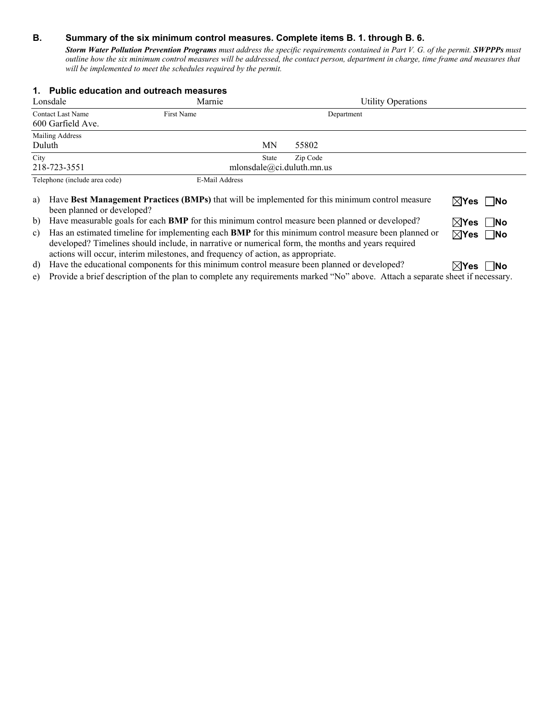### **B. Summary of the six minimum control measures. Complete items B. 1. through B. 6.**

*Storm Water Pollution Prevention Programs must address the specific requirements contained in Part V. G. of the permit. SWPPPs must outline how the six minimum control measures will be addressed, the contact person, department in charge, time frame and measures that will be implemented to meet the schedules required by the permit.* 

|        | 1. Public education and outreach measures                                                                                                                                                                                                                                                             |                |                           |                                                                                                       |                           |
|--------|-------------------------------------------------------------------------------------------------------------------------------------------------------------------------------------------------------------------------------------------------------------------------------------------------------|----------------|---------------------------|-------------------------------------------------------------------------------------------------------|---------------------------|
|        | Lonsdale                                                                                                                                                                                                                                                                                              | Marnie         |                           | <b>Utility Operations</b>                                                                             |                           |
|        | <b>Contact Last Name</b>                                                                                                                                                                                                                                                                              | First Name     |                           | Department                                                                                            |                           |
|        | 600 Garfield Ave.                                                                                                                                                                                                                                                                                     |                |                           |                                                                                                       |                           |
| Duluth | Mailing Address                                                                                                                                                                                                                                                                                       |                | MΝ                        | 55802                                                                                                 |                           |
| City   |                                                                                                                                                                                                                                                                                                       |                | State                     | Zip Code                                                                                              |                           |
|        | 218-723-3551                                                                                                                                                                                                                                                                                          |                |                           | mlonsdale@ci.duluth.mn.us                                                                             |                           |
|        | Telephone (include area code)                                                                                                                                                                                                                                                                         | E-Mail Address |                           |                                                                                                       |                           |
| a)     | been planned or developed?                                                                                                                                                                                                                                                                            |                |                           | Have Best Management Practices (BMPs) that will be implemented for this minimum control measure       | $\boxtimes$ Yes $\Box$ No |
| b)     |                                                                                                                                                                                                                                                                                                       |                |                           | Have measurable goals for each <b>BMP</b> for this minimum control measure been planned or developed? | $\boxtimes$ Yes $\Box$ No |
| C)     | Has an estimated timeline for implementing each <b>BMP</b> for this minimum control measure been planned or<br>developed? Timelines should include, in narrative or numerical form, the months and years required<br>actions will occur, interim milestones, and frequency of action, as appropriate. |                | $\boxtimes$ Yes $\Box$ No |                                                                                                       |                           |
| d)     |                                                                                                                                                                                                                                                                                                       |                |                           | Have the educational components for this minimum control measure been planned or developed?           | ⊠Yes<br><b>INo</b>        |

e) Provide a brief description of the plan to complete any requirements marked "No" above. Attach a separate sheet if necessary.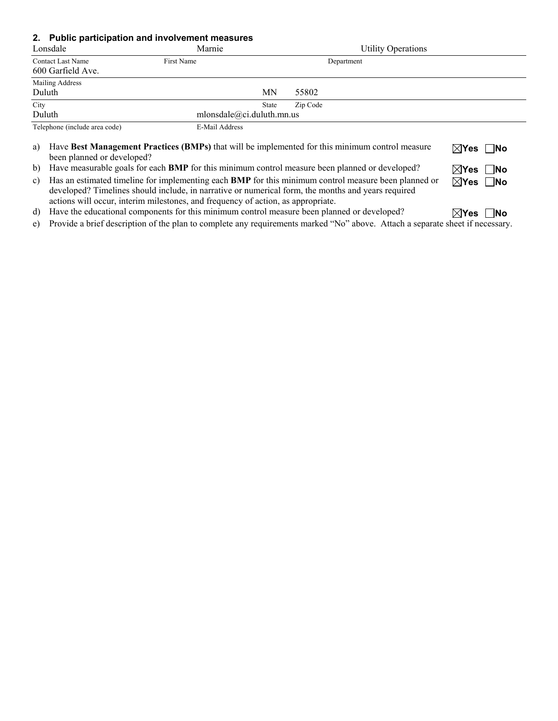#### **2. Public participation and involvement measures**

|              | Lonsdale                                      | Marnie                                    | <b>Utility Operations</b>                                                                                                                                                                                                                                          |
|--------------|-----------------------------------------------|-------------------------------------------|--------------------------------------------------------------------------------------------------------------------------------------------------------------------------------------------------------------------------------------------------------------------|
|              | <b>Contact Last Name</b><br>600 Garfield Ave. | First Name                                | Department                                                                                                                                                                                                                                                         |
|              | Mailing Address<br>Duluth                     | ΜN                                        | 55802                                                                                                                                                                                                                                                              |
| City         | Duluth                                        | <b>State</b><br>mlonsdale@ci.duluth.mn.us | Zip Code                                                                                                                                                                                                                                                           |
|              | Telephone (include area code)                 | E-Mail Address                            |                                                                                                                                                                                                                                                                    |
| a)<br>b)     | been planned or developed?                    |                                           | Have Best Management Practices (BMPs) that will be implemented for this minimum control measure<br>$\boxtimes$ Yes $\Box$ No<br>Have measurable goals for each <b>BMP</b> for this minimum control measure been planned or developed?<br>$\boxtimes$ Yes $\Box$ No |
| $\mathbf{c}$ |                                               |                                           | Has an estimated timeline for implementing each BMP for this minimum control measure been planned or<br>$\boxtimes$ Yes    No<br>developed? Timelines should include, in narrative or numerical form, the months and years required                                |

actions will occur, interim milestones, and frequency of action, as appropriate.

d) Have the educational components for this minimum control measure been planned or developed? **Yes** No

e) Provide a brief description of the plan to complete any requirements marked "No" above. Attach a separate sheet if necessary.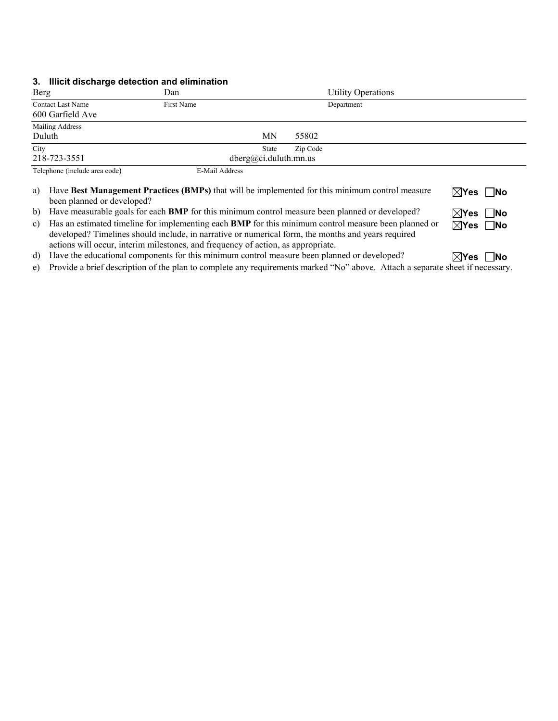#### **3. Illicit discharge detection and elimination**

| <b>Berg</b>                                  | Dan            |                                |          | <b>Utility Operations</b> |  |
|----------------------------------------------|----------------|--------------------------------|----------|---------------------------|--|
| <b>Contact Last Name</b><br>600 Garfield Ave | First Name     |                                |          | Department                |  |
| Mailing Address<br>Duluth                    |                | MN                             | 55802    |                           |  |
| City<br>218-723-3551                         |                | State<br>dberg@ci.duluth.mn.us | Zip Code |                           |  |
| Telephone (include area code)                | E-Mail Address |                                |          |                           |  |

| a) Have Best Management Practices (BMPs) that will be implemented for this minimum control measure       | $\boxtimes$ Yes $\Box$ No |
|----------------------------------------------------------------------------------------------------------|---------------------------|
| been planned or developed?                                                                               |                           |
| b) Have measurable goals for each <b>BMP</b> for this minimum control measure been planned or developed? | $\boxtimes$ Yes $\Box$ No |

c) Has an estimated timeline for implementing each **BMP** for this minimum control measure been planned or

developed? Timelines should include, in narrative or numerical form, the months and years required actions will occur, interim milestones, and frequency of action, as appropriate.

d) Have the educational components for this minimum control measure been planned or developed?  $\mathbb{R}$ Yes  $\Box$ No

e) Provide a brief description of the plan to complete any requirements marked "No" above. Attach a separate sheet if necessary.

**Yes No**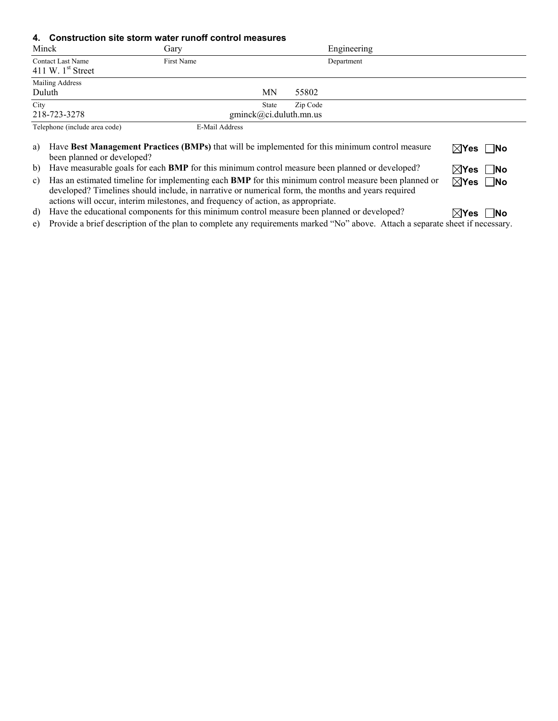#### **4. Construction site storm water runoff control measures**

| Minck                                           | Gary                                                                                                                                                                                                 |                                                    | Engineering |                           |
|-------------------------------------------------|------------------------------------------------------------------------------------------------------------------------------------------------------------------------------------------------------|----------------------------------------------------|-------------|---------------------------|
| <b>Contact Last Name</b><br>411 W. $1st$ Street | First Name                                                                                                                                                                                           |                                                    | Department  |                           |
| Mailing Address<br>Duluth                       |                                                                                                                                                                                                      | MΝ<br>55802                                        |             |                           |
| City<br>218-723-3278                            |                                                                                                                                                                                                      | Zip Code<br><b>State</b><br>gminck@ci.duluth.mn.us |             |                           |
| Telephone (include area code)                   | E-Mail Address                                                                                                                                                                                       |                                                    |             |                           |
| a)<br>been planned or developed?                | Have Best Management Practices (BMPs) that will be implemented for this minimum control measure<br>$\rightarrow$ $\rightarrow$ $\rightarrow$ $\rightarrow$ $\rightarrow$ $\rightarrow$ $\rightarrow$ |                                                    |             | $\boxtimes$ Yes $\Box$ No |

b) Have measurable goals for each **BMP** for this minimum control measure been planned or developed? **Yes** No

| c) Has an estimated timeline for implementing each <b>BMP</b> for this minimum control measure been planned or |
|----------------------------------------------------------------------------------------------------------------|
| developed? Timelines should include, in narrative or numerical form, the months and years required             |
| actions will occur, interim milestones, and frequency of action, as appropriate.                               |

d) Have the educational components for this minimum control measure been planned or developed? **Yes** No

e) Provide a brief description of the plan to complete any requirements marked "No" above. Attach a separate sheet if necessary.

**Yes No**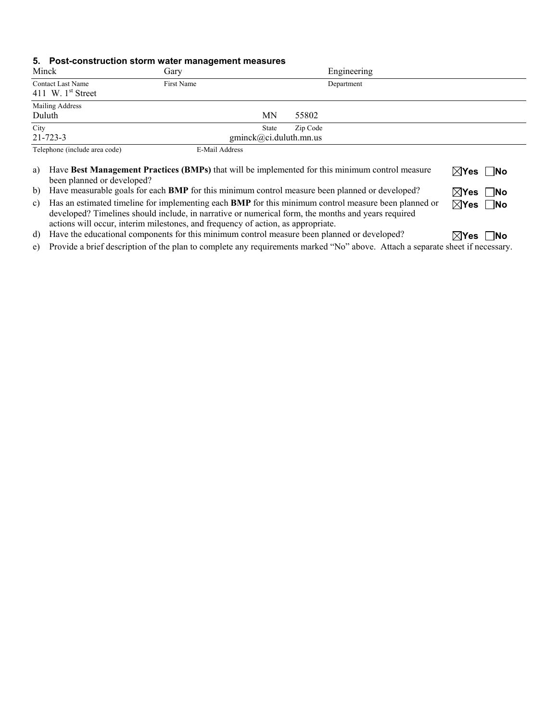### **5. Post-construction storm water management measures**

| Minck                                           | Gary           |                                 |          | Engineering |  |
|-------------------------------------------------|----------------|---------------------------------|----------|-------------|--|
| <b>Contact Last Name</b><br>411 W. $1st$ Street | First Name     |                                 |          | Department  |  |
| Mailing Address<br>Duluth                       |                | MΝ                              | 55802    |             |  |
| City<br>$21 - 723 - 3$                          |                | State<br>gminck@ci.duluth.mn.us | Zip Code |             |  |
| Telephone (include area code)                   | E-Mail Address |                                 |          |             |  |

| a) Have Best Management Practices (BMPs) that will be implemented for this minimum control measure<br>been planned or developed? | $\boxtimes$ Yes $\Box$ No |
|----------------------------------------------------------------------------------------------------------------------------------|---------------------------|
| b) Have measurable goals for each <b>BMP</b> for this minimum control measure been planned or developed?                         | $\boxtimes$ Yes $\Box$ No |
| c) Has an estimated timeline for implementing each BMP for this minimum control measure been planned or                          | $\boxtimes$ Yes $\Box$ No |

developed? Timelines should include, in narrative or numerical form, the months and years required actions will occur, interim milestones, and frequency of action, as appropriate.

d) Have the educational components for this minimum control measure been planned or developed? **XYes** No

e) Provide a brief description of the plan to complete any requirements marked "No" above. Attach a separate sheet if necessary.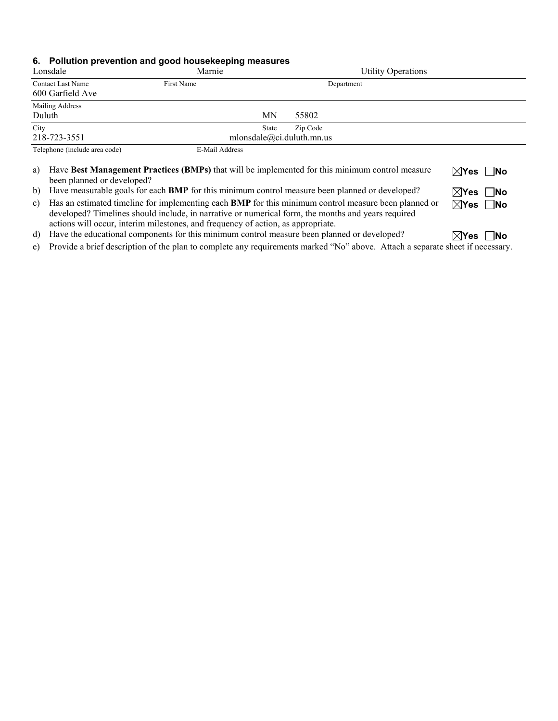### **6. Pollution prevention and good housekeeping measures**

| Lonsdale                                     | Marnie         | <b>Utility Operations</b>                             |
|----------------------------------------------|----------------|-------------------------------------------------------|
| <b>Contact Last Name</b><br>600 Garfield Ave | First Name     | Department                                            |
| Mailing Address<br>Duluth                    |                | <b>MN</b><br>55802                                    |
| City<br>218-723-3551                         |                | Zip Code<br><b>State</b><br>mlonsdale@ci.duluth.mn.us |
| Telephone (include area code)                | E-Mail Address |                                                       |

| a) Have Best Management Practices (BMPs) that will be implemented for this minimum control measure             | $\boxtimes$ Yes $\Box$ No |
|----------------------------------------------------------------------------------------------------------------|---------------------------|
| been planned or developed?                                                                                     |                           |
| b) Have measurable goals for each <b>BMP</b> for this minimum control measure been planned or developed?       | $\boxtimes$ Yes $\Box$ No |
| c) Has an estimated timeline for implementing each <b>BMP</b> for this minimum control measure been planned or | $\boxtimes$ Yes $\Box$ No |
| developed? Timelines should include, in narrative or numerical form, the months and years required             |                           |
| actions will occur, interim milestones, and frequency of action, as appropriate.                               |                           |

d) Have the educational components for this minimum control measure been planned or developed? **XYes** No

e) Provide a brief description of the plan to complete any requirements marked "No" above. Attach a separate sheet if necessary.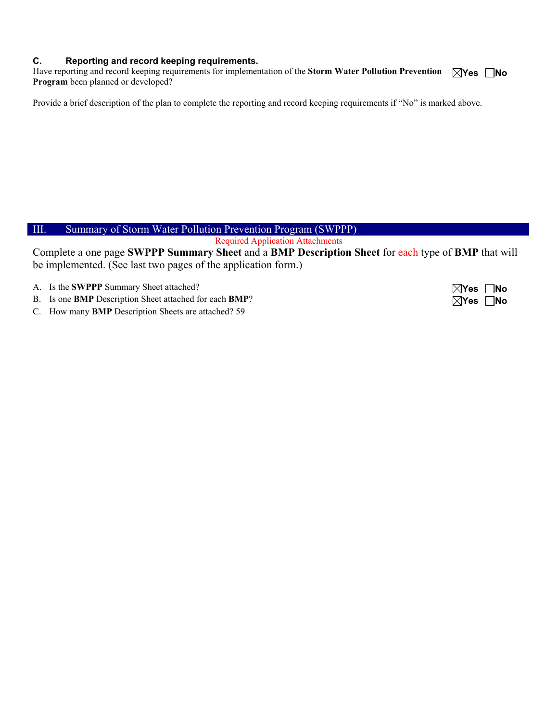#### **C. Reporting and record keeping requirements.**

Have reporting and record keeping requirements for implementation of the Storm Water Pollution Prevention  $\Box$ Yes  $\Box$ No **Program** been planned or developed?

Provide a brief description of the plan to complete the reporting and record keeping requirements if "No" is marked above.

# III. Summary of Storm Water Pollution Prevention Program (SWPPP)

Required Application Attachments

Complete a one page **SWPPP Summary Sheet** and a **BMP Description Sheet** for each type of **BMP** that will be implemented. (See last two pages of the application form.)

- A. Is the **SWPPP** Summary Sheet attached?  $\boxtimes$  **Yes**  $\Box$  **No**
- B. Is one **BMP** Description Sheet attached for each **BMP**?  $\boxtimes$  **Yes**  $\Box$  **No**
- C. How many **BMP** Description Sheets are attached? 59

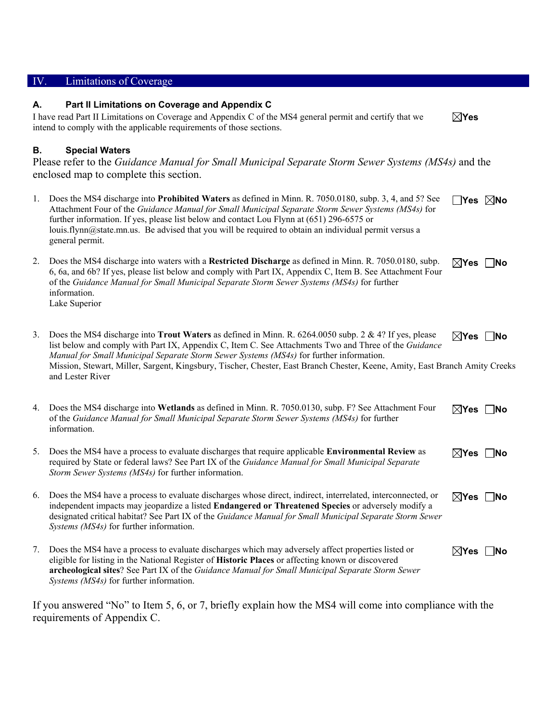| IV. | Limitations of Coverage                                                                                                                                                                                                                                                                                                                                                                                                                                             |                                |
|-----|---------------------------------------------------------------------------------------------------------------------------------------------------------------------------------------------------------------------------------------------------------------------------------------------------------------------------------------------------------------------------------------------------------------------------------------------------------------------|--------------------------------|
| А.  | Part II Limitations on Coverage and Appendix C<br>I have read Part II Limitations on Coverage and Appendix C of the MS4 general permit and certify that we<br>intend to comply with the applicable requirements of those sections.                                                                                                                                                                                                                                  | $\boxtimes$ Yes                |
| В.  | <b>Special Waters</b><br>Please refer to the Guidance Manual for Small Municipal Separate Storm Sewer Systems (MS4s) and the<br>enclosed map to complete this section.                                                                                                                                                                                                                                                                                              |                                |
| 1.  | Does the MS4 discharge into <b>Prohibited Waters</b> as defined in Minn. R. 7050.0180, subp. 3, 4, and 5? See<br>Attachment Four of the Guidance Manual for Small Municipal Separate Storm Sewer Systems (MS4s) for<br>further information. If yes, please list below and contact Lou Flynn at (651) 296-6575 or<br>louis.flynn@state.mn.us. Be advised that you will be required to obtain an individual permit versus a<br>general permit.                        | $\Box$ Yes $\boxtimes$ No      |
| 2.  | Does the MS4 discharge into waters with a Restricted Discharge as defined in Minn. R. 7050.0180, subp.<br>6, 6a, and 6b? If yes, please list below and comply with Part IX, Appendix C, Item B. See Attachment Four<br>of the Guidance Manual for Small Municipal Separate Storm Sewer Systems (MS4s) for further<br>information.<br>Lake Superior                                                                                                                  | $\boxtimes$ Yes $\Box$ No      |
| 3.  | Does the MS4 discharge into <b>Trout Waters</b> as defined in Minn. R. 6264.0050 subp. 2 & 4? If yes, please<br>list below and comply with Part IX, Appendix C, Item C. See Attachments Two and Three of the Guidance<br>Manual for Small Municipal Separate Storm Sewer Systems (MS4s) for further information.<br>Mission, Stewart, Miller, Sargent, Kingsbury, Tischer, Chester, East Branch Chester, Keene, Amity, East Branch Amity Creeks<br>and Lester River | $\boxtimes$ Yes $\Box$ No      |
| 4.  | Does the MS4 discharge into Wetlands as defined in Minn. R. 7050.0130, subp. F? See Attachment Four<br>of the Guidance Manual for Small Municipal Separate Storm Sewer Systems (MS4s) for further<br>information.                                                                                                                                                                                                                                                   | $\boxtimes$ Yes [<br><b>No</b> |
| 5.  | Does the MS4 have a process to evaluate discharges that require applicable Environmental Review as<br>required by State or federal laws? See Part IX of the Guidance Manual for Small Municipal Separate<br>Storm Sewer Systems (MS4s) for further information.                                                                                                                                                                                                     | $\boxtimes$ Yes $\Box$ No      |
| 6.  | Does the MS4 have a process to evaluate discharges whose direct, indirect, interrelated, interconnected, or<br>independent impacts may jeopardize a listed Endangered or Threatened Species or adversely modify a<br>designated critical habitat? See Part IX of the Guidance Manual for Small Municipal Separate Storm Sewer<br>Systems (MS4s) for further information.                                                                                            | $\boxtimes$ Yes $\Box$ No      |
| 7.  | Does the MS4 have a process to evaluate discharges which may adversely affect properties listed or<br>eligible for listing in the National Register of Historic Places or affecting known or discovered<br>archeological sites? See Part IX of the Guidance Manual for Small Municipal Separate Storm Sewer<br>Systems (MS4s) for further information.                                                                                                              | $\boxtimes$ Yes $\Box$ No      |
|     | If you answered "No" to Item 5, 6, or 7, briefly explain how the MS4 will come into compliance with the                                                                                                                                                                                                                                                                                                                                                             |                                |

requirements of Appendix C.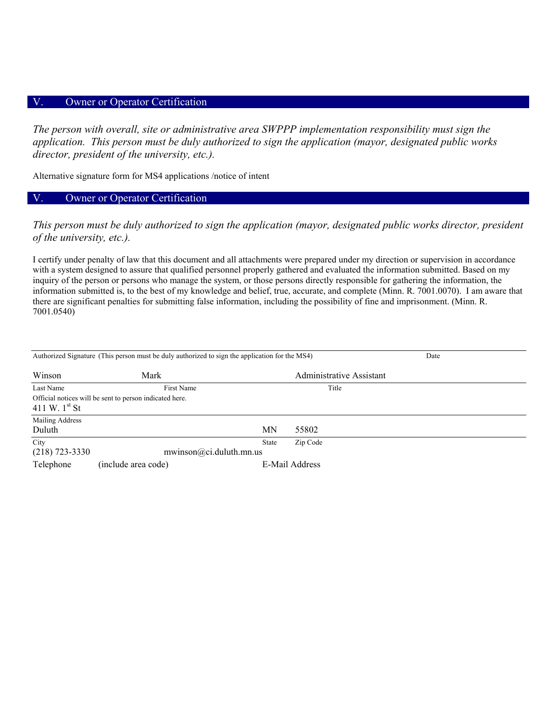#### V. Owner or Operator Certification

*The person with overall, site or administrative area SWPPP implementation responsibility must sign the application. This person must be duly authorized to sign the application (mayor, designated public works director, president of the university, etc.).* 

Alternative signature form for MS4 applications /notice of intent

### V. Owner or Operator Certification

*This person must be duly authorized to sign the application (mayor, designated public works director, president of the university, etc.).* 

I certify under penalty of law that this document and all attachments were prepared under my direction or supervision in accordance with a system designed to assure that qualified personnel properly gathered and evaluated the information submitted. Based on my inquiry of the person or persons who manage the system, or those persons directly responsible for gathering the information, the information submitted is, to the best of my knowledge and belief, true, accurate, and complete (Minn. R. 7001.0070). I am aware that there are significant penalties for submitting false information, including the possibility of fine and imprisonment. (Minn. R. 7001.0540)

| Authorized Signature (This person must be duly authorized to sign the application for the MS4) | Date                                                    |              |                          |  |
|------------------------------------------------------------------------------------------------|---------------------------------------------------------|--------------|--------------------------|--|
| Winson                                                                                         | Mark                                                    |              | Administrative Assistant |  |
| Last Name                                                                                      | First Name                                              |              | Title                    |  |
| 411 W. $1^{st}$ St                                                                             | Official notices will be sent to person indicated here. |              |                          |  |
| Mailing Address                                                                                |                                                         |              |                          |  |
| Duluth                                                                                         |                                                         | MΝ           | 55802                    |  |
| City                                                                                           |                                                         | <b>State</b> | Zip Code                 |  |
| $(218)$ 723-3330                                                                               | mwinson@ci.duluth.mn.us                                 |              |                          |  |
| Telephone                                                                                      | (include area code)                                     |              | E-Mail Address           |  |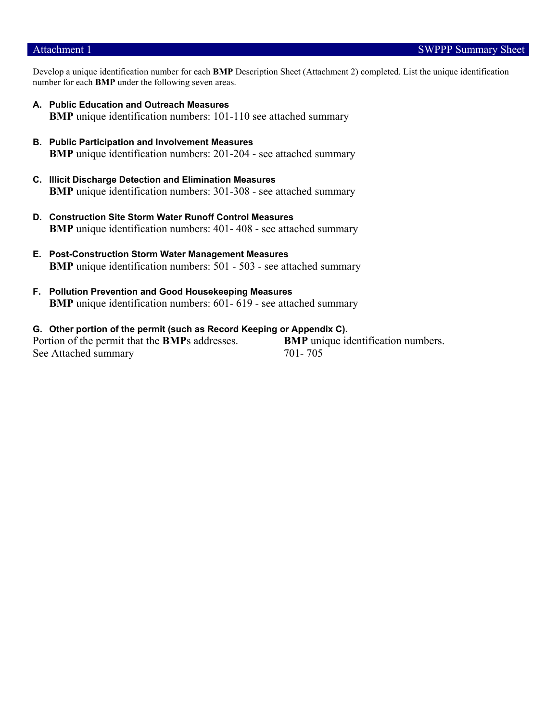#### Attachment 1 SWPPP Summary Sheet

Develop a unique identification number for each **BMP** Description Sheet (Attachment 2) completed. List the unique identification number for each **BMP** under the following seven areas.

- **A. Public Education and Outreach Measures BMP** unique identification numbers: 101-110 see attached summary
- **B. Public Participation and Involvement Measures BMP** unique identification numbers: 201-204 - see attached summary
- **C. Illicit Discharge Detection and Elimination Measures BMP** unique identification numbers: 301-308 - see attached summary
- **D. Construction Site Storm Water Runoff Control Measures BMP** unique identification numbers: 401-408 - see attached summary
- **E. Post-Construction Storm Water Management Measures BMP** unique identification numbers: 501 - 503 - see attached summary
- **F. Pollution Prevention and Good Housekeeping Measures BMP** unique identification numbers: 601-619 - see attached summary
- **G. Other portion of the permit (such as Record Keeping or Appendix C).**  Portion of the permit that the **BMP**s addresses. **BMP** unique identification numbers. See Attached summary 701- 705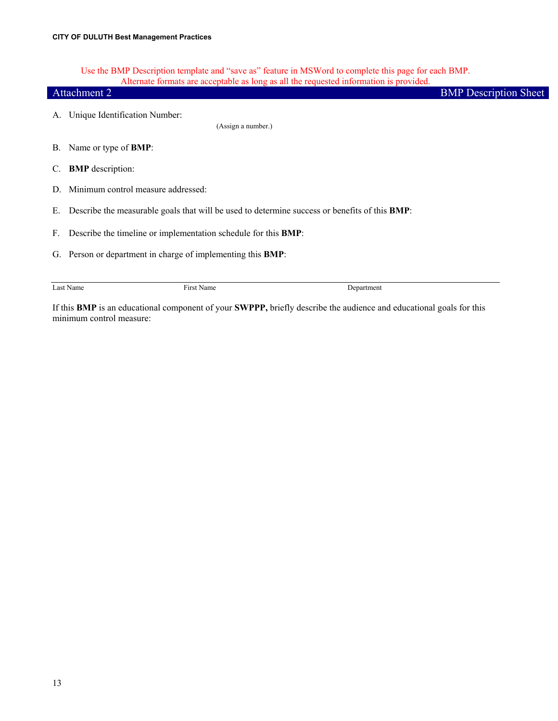Use the BMP Description template and "save as" feature in MSWord to complete this page for each BMP. Alternate formats are acceptable as long as all the requested information is provided.

|    | <i>recently formats are acceptable as folly as an the requested information to provided.</i><br>Attachment 2 | <b>BMP</b> Description Sheet |
|----|--------------------------------------------------------------------------------------------------------------|------------------------------|
| А. | Unique Identification Number:<br>(Assign a number.)                                                          |                              |
|    |                                                                                                              |                              |
|    | B. Name or type of <b>BMP</b> :                                                                              |                              |
| C. | <b>BMP</b> description:                                                                                      |                              |
| D. | Minimum control measure addressed:                                                                           |                              |
| Е. | Describe the measurable goals that will be used to determine success or benefits of this <b>BMP</b> :        |                              |
| F. | Describe the timeline or implementation schedule for this <b>BMP</b> :                                       |                              |
|    | G. Person or department in charge of implementing this <b>BMP</b> :                                          |                              |
|    |                                                                                                              |                              |
|    | First Name<br>Last Name<br>Department                                                                        |                              |

If this **BMP** is an educational component of your **SWPPP,** briefly describe the audience and educational goals for this minimum control measure: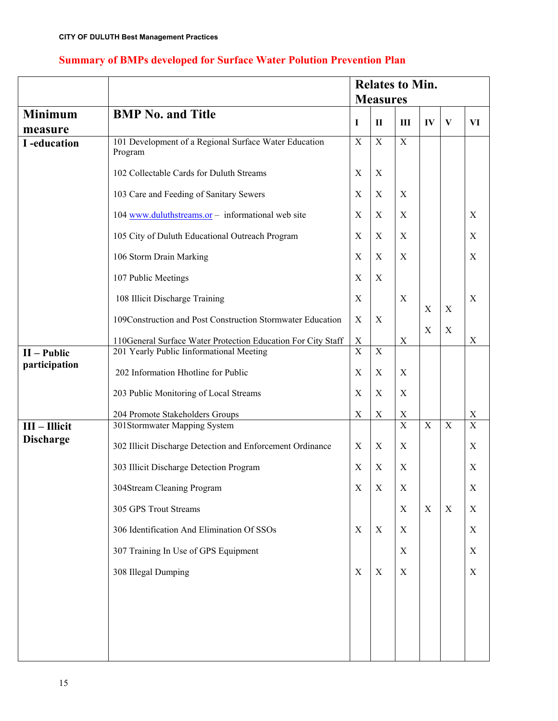|                                |                                                                  |                     |                  | <b>Relates to Min.</b> |                         |                |               |
|--------------------------------|------------------------------------------------------------------|---------------------|------------------|------------------------|-------------------------|----------------|---------------|
|                                |                                                                  |                     | <b>Measures</b>  |                        |                         |                |               |
| Minimum                        | <b>BMP No. and Title</b>                                         | I                   | $\mathbf{I}$     | $\mathbf{III}$         | IV                      | $\mathbf{V}$   | VI            |
| measure                        |                                                                  |                     |                  |                        |                         |                |               |
| I-education                    | 101 Development of a Regional Surface Water Education<br>Program | $\mathbf X$         | $\mathbf X$      | $\mathbf X$            |                         |                |               |
|                                | 102 Collectable Cards for Duluth Streams                         | $\mathbf X$         | X                |                        |                         |                |               |
|                                | 103 Care and Feeding of Sanitary Sewers                          | $\mathbf X$         | X                | X                      |                         |                |               |
|                                | 104 www.duluthstreams.or - informational web site                | $\mathbf X$         | X                | X                      |                         |                | $\mathbf X$   |
|                                | 105 City of Duluth Educational Outreach Program                  | $\mathbf X$         | $\mathbf X$      | $\mathbf X$            |                         |                | $\mathbf X$   |
|                                | 106 Storm Drain Marking                                          | $\mathbf X$         | X                | X                      |                         |                | $\mathbf X$   |
|                                | 107 Public Meetings                                              | $\mathbf X$         | $\boldsymbol{X}$ |                        |                         |                |               |
|                                | 108 Illicit Discharge Training                                   | $\mathbf X$         |                  | $\mathbf X$            | $\mathbf X$             | $\mathbf X$    | $\mathbf X$   |
|                                | 109Construction and Post Construction Stormwater Education       | X                   | X                |                        | X                       | $\mathbf X$    |               |
|                                | 110General Surface Water Protection Education For City Staff     | X<br>$\overline{X}$ |                  | $\mathbf X$            |                         |                | $\mathbf X$   |
| $II - Public$<br>participation | 201 Yearly Public Iinformational Meeting                         |                     | X                |                        |                         |                |               |
|                                | 202 Information Hhotline for Public                              | $\mathbf X$         | $\boldsymbol{X}$ | $\mathbf X$            |                         |                |               |
|                                | 203 Public Monitoring of Local Streams                           | $\mathbf X$         | X                | X                      |                         |                |               |
|                                | 204 Promote Stakeholders Groups                                  | $\mathbf X$         | $\mathbf X$      | X                      |                         |                | $\frac{X}{X}$ |
| $III$ – Illicit                | 301Stormwater Mapping System                                     |                     |                  | $\overline{X}$         | $\overline{\mathrm{X}}$ | $\overline{X}$ |               |
| <b>Discharge</b>               | 302 Illicit Discharge Detection and Enforcement Ordinance        | X                   | X                | X                      |                         |                | $\mathbf X$   |
|                                | 303 Illicit Discharge Detection Program                          | $\mathbf X$         | X                | X                      |                         |                | $\mathbf X$   |
|                                | 304Stream Cleaning Program                                       | $\mathbf X$         | $\mathbf X$      | X                      |                         |                | $\mathbf X$   |
|                                | 305 GPS Trout Streams                                            |                     |                  | X                      | $\mathbf X$             | $\mathbf X$    | $\mathbf X$   |
|                                | 306 Identification And Elimination Of SSOs                       | X                   | X                | X                      |                         |                | $\mathbf X$   |
|                                | 307 Training In Use of GPS Equipment                             |                     |                  | $\mathbf X$            |                         |                | $\mathbf X$   |
|                                | 308 Illegal Dumping                                              | X                   | X                | X                      |                         |                | $\mathbf X$   |
|                                |                                                                  |                     |                  |                        |                         |                |               |
|                                |                                                                  |                     |                  |                        |                         |                |               |
|                                |                                                                  |                     |                  |                        |                         |                |               |
|                                |                                                                  |                     |                  |                        |                         |                |               |

## **Summary of BMPs developed for Surface Water Polution Prevention Plan**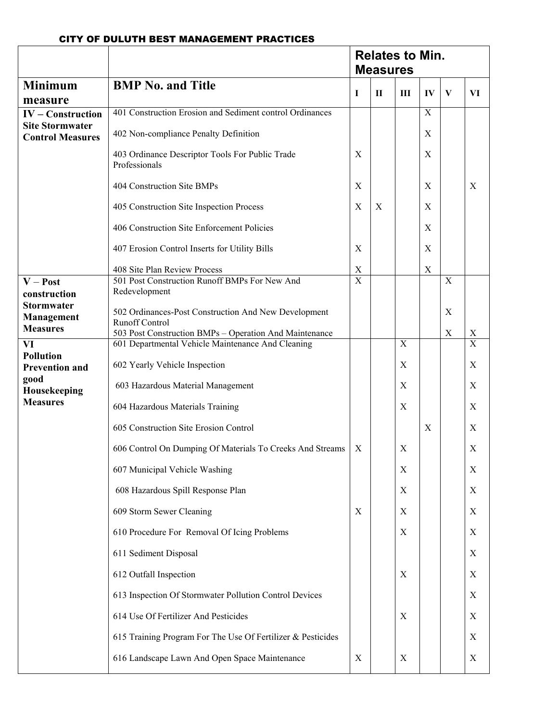|                                                   |                                                                                 | <b>Relates to Min.</b><br><b>Measures</b> |   |   |                  |              |                         |
|---------------------------------------------------|---------------------------------------------------------------------------------|-------------------------------------------|---|---|------------------|--------------|-------------------------|
| <b>Minimum</b>                                    | <b>BMP No. and Title</b>                                                        | I                                         | П | Ш | IV               | $\mathbf{V}$ | VI                      |
| measure<br>$IV$ – Construction                    | 401 Construction Erosion and Sediment control Ordinances                        |                                           |   |   | $\mathbf X$      |              |                         |
| <b>Site Stormwater</b><br><b>Control Measures</b> | 402 Non-compliance Penalty Definition                                           |                                           |   |   | X                |              |                         |
|                                                   | 403 Ordinance Descriptor Tools For Public Trade<br>Professionals                | X                                         |   |   | $\mathbf X$      |              |                         |
|                                                   | 404 Construction Site BMPs                                                      | X                                         |   |   | X                |              | X                       |
|                                                   | 405 Construction Site Inspection Process                                        | X                                         | X |   | X                |              |                         |
|                                                   | 406 Construction Site Enforcement Policies                                      |                                           |   |   | X                |              |                         |
|                                                   | 407 Erosion Control Inserts for Utility Bills                                   | X                                         |   |   | X                |              |                         |
|                                                   | 408 Site Plan Review Process                                                    | X                                         |   |   | $\boldsymbol{X}$ |              |                         |
| $V - Post$                                        | 501 Post Construction Runoff BMPs For New And                                   | $\overline{X}$                            |   |   |                  | $\mathbf X$  |                         |
| construction                                      | Redevelopment                                                                   |                                           |   |   |                  |              |                         |
| <b>Stormwater</b><br>Management                   | 502 Ordinances-Post Construction And New Development                            |                                           |   |   |                  | X            |                         |
| <b>Measures</b>                                   | <b>Runoff Control</b><br>503 Post Construction BMPs - Operation And Maintenance |                                           |   |   |                  | $\mathbf X$  | $\mathbf X$             |
| VI                                                | 601 Departmental Vehicle Maintenance And Cleaning                               |                                           |   | X |                  |              | $\overline{\mathrm{X}}$ |
| <b>Pollution</b><br><b>Prevention and</b>         | 602 Yearly Vehicle Inspection                                                   |                                           |   | X |                  |              | $\mathbf X$             |
| good<br>Housekeeping                              | 603 Hazardous Material Management                                               |                                           |   | X |                  |              | $\mathbf X$             |
| <b>Measures</b>                                   | 604 Hazardous Materials Training                                                |                                           |   | X |                  |              | $\mathbf X$             |
|                                                   | 605 Construction Site Erosion Control                                           |                                           |   |   | X                |              | X                       |
|                                                   | 606 Control On Dumping Of Materials To Creeks And Streams                       | $\boldsymbol{X}$                          |   | X |                  |              | X                       |
|                                                   | 607 Municipal Vehicle Washing                                                   |                                           |   | X |                  |              | X                       |
|                                                   | 608 Hazardous Spill Response Plan                                               |                                           |   | X |                  |              | $\mathbf X$             |
|                                                   | 609 Storm Sewer Cleaning                                                        | X                                         |   | X |                  |              | X                       |
|                                                   | 610 Procedure For Removal Of Icing Problems                                     |                                           |   | X |                  |              | $\mathbf X$             |
|                                                   | 611 Sediment Disposal                                                           |                                           |   |   |                  |              | $\mathbf X$             |
|                                                   | 612 Outfall Inspection                                                          |                                           |   | X |                  |              | X                       |
|                                                   | 613 Inspection Of Stormwater Pollution Control Devices                          |                                           |   |   |                  |              | $\mathbf X$             |
|                                                   | 614 Use Of Fertilizer And Pesticides                                            |                                           |   | X |                  |              | X                       |
|                                                   | 615 Training Program For The Use Of Fertilizer & Pesticides                     |                                           |   |   |                  |              | X                       |
|                                                   | 616 Landscape Lawn And Open Space Maintenance                                   | X                                         |   | X |                  |              | X                       |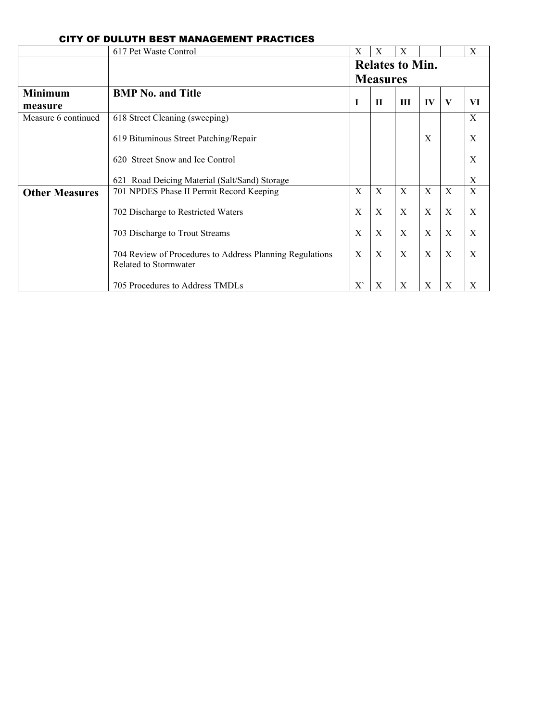|                       | 617 Pet Waste Control                                                             | X                      | X            | X            |              |              | X  |  |
|-----------------------|-----------------------------------------------------------------------------------|------------------------|--------------|--------------|--------------|--------------|----|--|
|                       |                                                                                   | <b>Relates to Min.</b> |              |              |              |              |    |  |
|                       |                                                                                   | <b>Measures</b>        |              |              |              |              |    |  |
| <b>Minimum</b>        | <b>BMP</b> No. and Title                                                          |                        |              |              |              |              |    |  |
| measure               |                                                                                   | $\mathbf I$            | $\mathbf{H}$ | Ш            | IV           | $\mathbf{V}$ | VI |  |
| Measure 6 continued   | 618 Street Cleaning (sweeping)                                                    |                        |              |              |              |              | X  |  |
|                       | 619 Bituminous Street Patching/Repair                                             |                        |              |              | X            |              | X  |  |
|                       | 620 Street Snow and Ice Control                                                   |                        |              |              |              |              | X  |  |
|                       | 621 Road Deicing Material (Salt/Sand) Storage                                     |                        |              |              |              |              | X  |  |
| <b>Other Measures</b> | 701 NPDES Phase II Permit Record Keeping                                          | X                      | $\mathbf{X}$ | $\mathbf{X}$ | $\mathbf{X}$ | $\mathbf{X}$ | X  |  |
|                       | 702 Discharge to Restricted Waters                                                | X                      | X            | X            | X            | X            | X  |  |
|                       | 703 Discharge to Trout Streams                                                    | X                      | $\mathbf{X}$ | $\mathbf{X}$ | $\mathbf{X}$ | $\mathbf X$  | X  |  |
|                       | 704 Review of Procedures to Address Planning Regulations<br>Related to Stormwater | X                      | $\mathbf{X}$ | $\mathbf{X}$ | X            | X            | X  |  |
|                       | 705 Procedures to Address TMDLs                                                   | X                      | X            | X            | X            | X            | X  |  |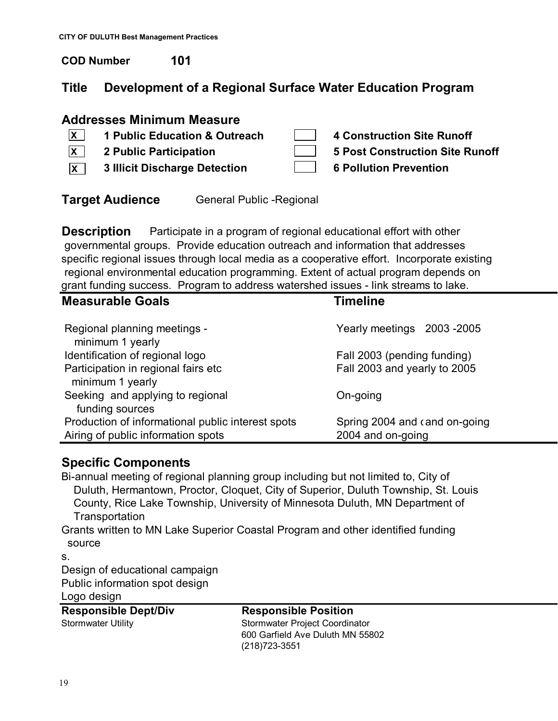**COD Number 101**

# **Title Development of a Regional Surface Water Education Program**

# **Addresses Minimum Measure**

- **1 Public Education & Outreach 4 Construction Site Runoff X**
- **X**
- **3 Illicit Discharge Detection 6 Pollution Prevention X**

- 
- **2 Public Participation 5 Post Construction Site Runoff**
- **Target Audience** General Public Regional

**Description** Participate in a program of regional educational effort with other governmental groups. Provide education outreach and information that addresses specific regional issues through local media as a cooperative effort. Incorporate existing regional environmental education programming. Extent of actual program depends on grant funding success. Program to address watershed issues - link streams to lake.

| <b>Measurable Goals</b>                                 | <b>Timeline</b>               |
|---------------------------------------------------------|-------------------------------|
| Regional planning meetings -<br>minimum 1 yearly        | Yearly meetings 2003-2005     |
| Identification of regional logo                         | Fall 2003 (pending funding)   |
| Participation in regional fairs etc<br>minimum 1 yearly | Fall 2003 and yearly to 2005  |
| Seeking and applying to regional<br>funding sources     | On-going                      |
| Production of informational public interest spots       | Spring 2004 and cand on-going |
| Airing of public information spots                      | 2004 and on-going             |

# **Specific Components**

Bi-annual meeting of regional planning group including but not limited to, City of Duluth, Hermantown, Proctor, Cloquet, City of Superior, Duluth Township, St. Louis County, Rice Lake Township, University of Minnesota Duluth, MN Department of **Transportation** 

Grants written to MN Lake Superior Coastal Program and other identified funding source

s.

Design of educational campaign Public information spot design Logo design

| <b>Responsible Dept/Div</b> | <b>Responsible Position</b>      |  |  |  |
|-----------------------------|----------------------------------|--|--|--|
| Stormwater Utility          | Stormwater Project Coordinator   |  |  |  |
|                             | 600 Garfield Ave Duluth MN 55802 |  |  |  |
|                             | (218)723-3551                    |  |  |  |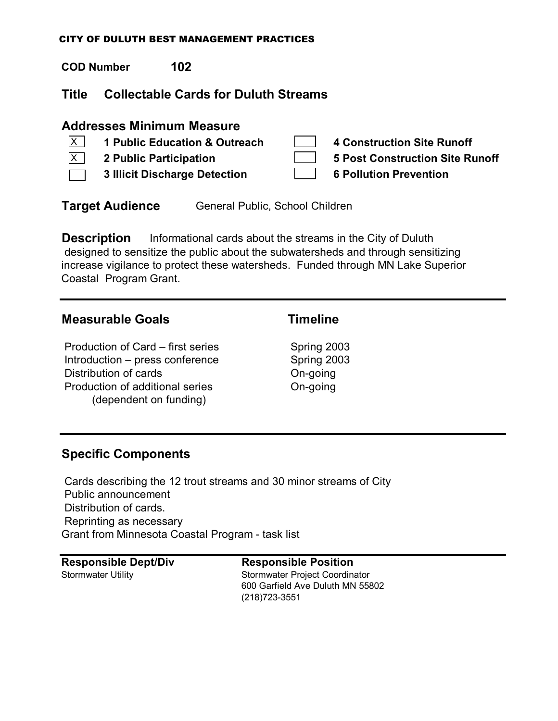**COD Number 102**

# **Title Collectable Cards for Duluth Streams**

# **Addresses Minimum Measure**

**1 Public Education & Outreach 4 Construction Site Runoff 2 Public Participation 5 Post Construction Site Runoff 3 Illicit Discharge Detection 6 Pollution Prevention**  $\overline{X}$  $\overline{X}$ 

**Target Audience** General Public, School Children

**Description** Informational cards about the streams in the City of Duluth designed to sensitize the public about the subwatersheds and through sensitizing increase vigilance to protect these watersheds. Funded through MN Lake Superior Coastal Program Grant.

# **Measurable Goals Timeline**

Production of Card – first series Spring 2003 Introduction – press conference Spring 2003 Distribution of cards **On-going** Production of additional series **On-going** (dependent on funding)

# **Specific Components**

 Cards describing the 12 trout streams and 30 minor streams of City Public announcement Distribution of cards. Reprinting as necessary Grant from Minnesota Coastal Program - task list

**Responsible Dept/Div Responsible Position**

Stormwater Utility Stormwater Project Coordinator 600 Garfield Ave Duluth MN 55802 (218)723-3551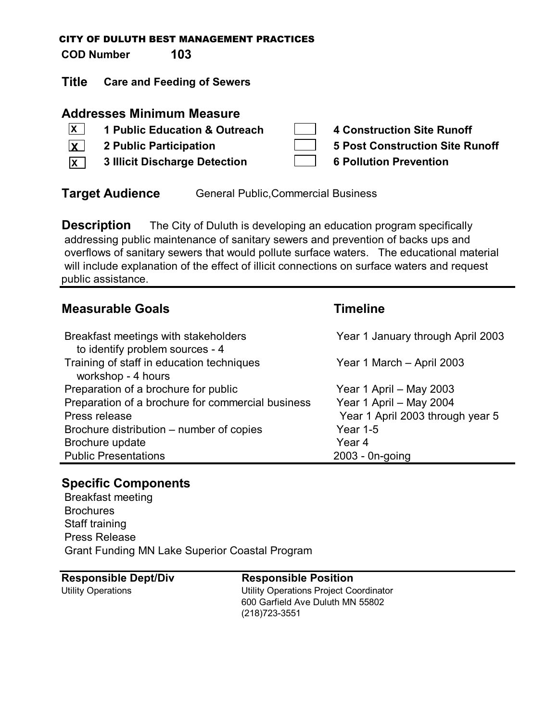**COD Number 103**

**Title Care and Feeding of Sewers**

## **Addresses Minimum Measure**

| $\overline{\mathbf{x}}$ | 1 Public Education & Outreach        | 4 Construction Site Runoff      |
|-------------------------|--------------------------------------|---------------------------------|
| $\overline{\mathbf{x}}$ | 2 Public Participation               | 5 Post Construction Site Runoff |
| $\overline{\mathbf{x}}$ | <b>3 Illicit Discharge Detection</b> | <b>6 Pollution Prevention</b>   |

**Target Audience** General Public, Commercial Business

**Description** The City of Duluth is developing an education program specifically addressing public maintenance of sanitary sewers and prevention of backs ups and overflows of sanitary sewers that would pollute surface waters. The educational material will include explanation of the effect of illicit connections on surface waters and request public assistance.

# **Measurable Goals Timeline**

| Breakfast meetings with stakeholders<br>to identify problem sources - 4 | Year 1 January through April 2003 |
|-------------------------------------------------------------------------|-----------------------------------|
| Training of staff in education techniques<br>workshop - 4 hours         | Year 1 March - April 2003         |
| Preparation of a brochure for public                                    | Year 1 April - May 2003           |
| Preparation of a brochure for commercial business                       | Year 1 April - May 2004           |
| Press release                                                           | Year 1 April 2003 through year 5  |
| Brochure distribution – number of copies                                | <b>Year 1-5</b>                   |
| Brochure update                                                         | Year 4                            |
| <b>Public Presentations</b>                                             | 2003 - 0n-going                   |

# **Specific Components**

 Breakfast meeting **Brochures**  Staff training Press Release Grant Funding MN Lake Superior Coastal Program

## **Responsible Dept/Div Responsible Position**

Utility Operations Utility Operations Project Coordinator 600 Garfield Ave Duluth MN 55802 (218)723-3551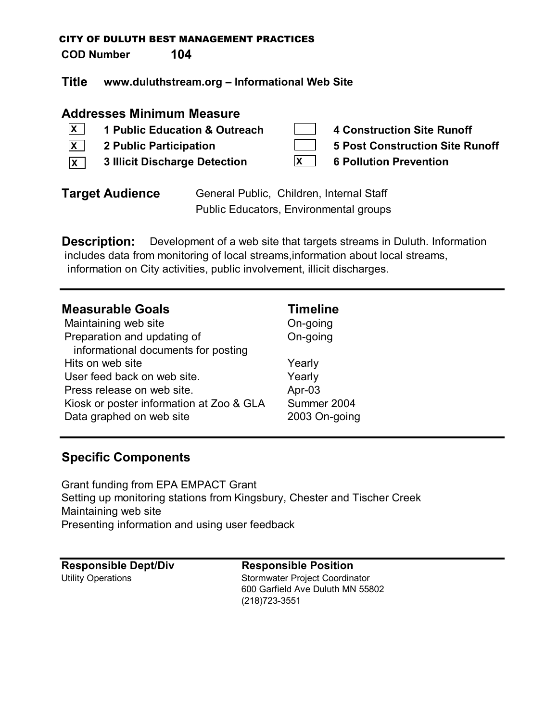**COD Number 104**

**Title www.duluthstream.org – Informational Web Site**

## **Addresses Minimum Measure**

**1 Public Education & Outreach 4 Construction Site Runoff 2 Public Participation 5 Post Construction Site Runoff 3 Illicit Discharge Detection 6 Pollution Prevention X XX X**

| <b>Target Audience</b> | General Public, Children, Internal Staff |
|------------------------|------------------------------------------|
|                        | Public Educators, Environmental groups   |

**Description:** Development of a web site that targets streams in Duluth. Information includes data from monitoring of local streams,information about local streams, information on City activities, public involvement, illicit discharges.

## **Measurable Goals Timeline**

| Maintaining web site                     |
|------------------------------------------|
| Preparation and updating of              |
| informational documents for posting      |
| Hits on web site                         |
| User feed back on web site.              |
| Press release on web site.               |
| Kiosk or poster information at Zoo & GLA |
| Data graphed on web site                 |

On-going **On-going** 

Yearly Yearly Apr-03 Summer 2004 2003 On-going

# **Specific Components**

Grant funding from EPA EMPACT Grant Setting up monitoring stations from Kingsbury, Chester and Tischer Creek Maintaining web site Presenting information and using user feedback

| <b>Responsible Dept/Div</b> |
|-----------------------------|
| <b>Utility Operations</b>   |

## **Responsible Dept/Div Responsible Position**

Stormwater Project Coordinator 600 Garfield Ave Duluth MN 55802 (218)723-3551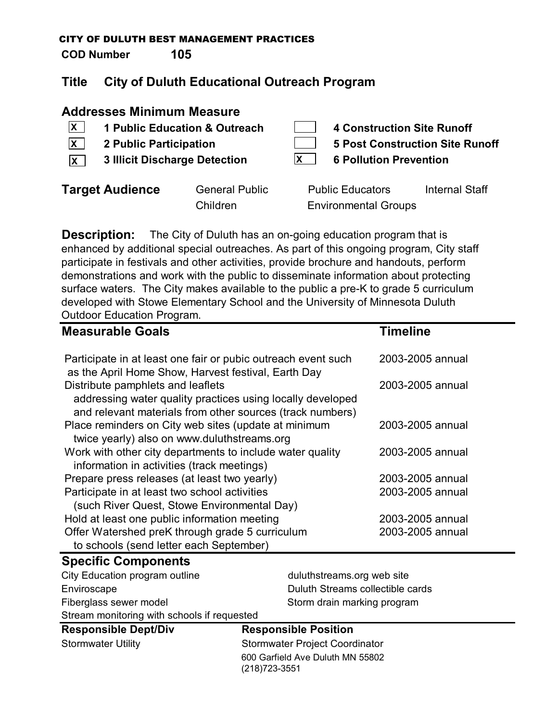**COD Number 105**

# **Title City of Duluth Educational Outreach Program**

## **Addresses Minimum Measure**

- **X**
- **X**
- **3 Illicit Discharge Detection 6 Pollution Prevention X X**
- **1 Public Education & Outreach 4 Construction Site Runoff**
- **2 Public Participation 5 Post Construction Site Runoff**
	-

| get Audience | <b>General Publi</b> |
|--------------|----------------------|
|              | Children             |

**Target Audience** General Public Public Educators Internal Staff Environmental Groups

**Description:** The City of Duluth has an on-going education program that is enhanced by additional special outreaches. As part of this ongoing program, City staff participate in festivals and other activities, provide brochure and handouts, perform demonstrations and work with the public to disseminate information about protecting surface waters. The City makes available to the public a pre-K to grade 5 curriculum developed with Stowe Elementary School and the University of Minnesota Duluth Outdoor Education Program.

| <b>Measurable Goals</b>                                                                                                                                      | <b>Timeline</b>  |
|--------------------------------------------------------------------------------------------------------------------------------------------------------------|------------------|
| Participate in at least one fair or pubic outreach event such<br>as the April Home Show, Harvest festival, Earth Day                                         | 2003-2005 annual |
| Distribute pamphlets and leaflets<br>addressing water quality practices using locally developed<br>and relevant materials from other sources (track numbers) | 2003-2005 annual |
| Place reminders on City web sites (update at minimum<br>twice yearly) also on www.duluthstreams.org                                                          | 2003-2005 annual |
| Work with other city departments to include water quality<br>information in activities (track meetings)                                                      | 2003-2005 annual |
| Prepare press releases (at least two yearly)                                                                                                                 | 2003-2005 annual |
| Participate in at least two school activities<br>(such River Quest, Stowe Environmental Day)                                                                 | 2003-2005 annual |
| Hold at least one public information meeting                                                                                                                 | 2003-2005 annual |
| Offer Watershed preK through grade 5 curriculum<br>to schools (send letter each September)                                                                   | 2003-2005 annual |

## **Specific Components**

| Stream monitoring with schools if requested |                                  |
|---------------------------------------------|----------------------------------|
| Fiberglass sewer model                      | Storm drain marking program      |
| Enviroscape                                 | Duluth Streams collectible cards |
| City Education program outline              | duluthstreams.org web site       |

**Responsible Dept/Div Responsible Position**

Stormwater Utility Stormwater Project Coordinator 600 Garfield Ave Duluth MN 55802 (218)723-3551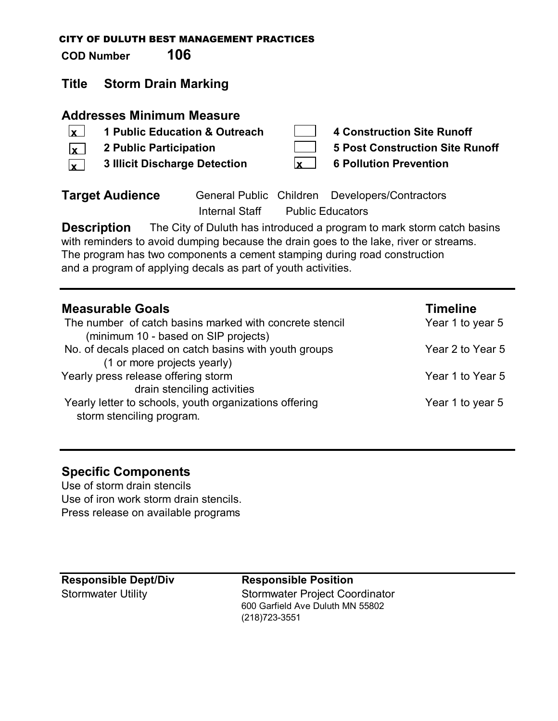**COD Number 106**

# **Title Storm Drain Marking**

## **Addresses Minimum Measure**

- **1 Public Education & Outreach 4 Construction Site Runoff 2 Public Participation 5 Post Construction Site Runoff x x** 
	- **3 Illicit Discharge Detection 6 Pollution Prevention x x**

| 4 Constructio          |
|------------------------|
| <b>5 Post Constr</b>   |
| <b>6 Pollution Pro</b> |

**Target Audience** General Public Children Developers/Contractors Internal Staff Public Educators

**Description** The City of Duluth has introduced a program to mark storm catch basins with reminders to avoid dumping because the drain goes to the lake, river or streams. The program has two components a cement stamping during road construction and a program of applying decals as part of youth activities.

| <b>Measurable Goals</b>                                                             | <b>Timeline</b>  |
|-------------------------------------------------------------------------------------|------------------|
| The number of catch basins marked with concrete stencil                             | Year 1 to year 5 |
| (minimum 10 - based on SIP projects)                                                |                  |
| No. of decals placed on catch basins with youth groups                              | Year 2 to Year 5 |
| (1 or more projects yearly)                                                         |                  |
| Yearly press release offering storm                                                 | Year 1 to Year 5 |
| drain stenciling activities                                                         |                  |
| Yearly letter to schools, youth organizations offering<br>storm stenciling program. | Year 1 to year 5 |

# **Specific Components**

Use of storm drain stencils Use of iron work storm drain stencils. Press release on available programs

**Responsible Dept/Div Responsible Position** Stormwater Utility Stormwater Project Coordinator 600 Garfield Ave Duluth MN 55802 (218)723-3551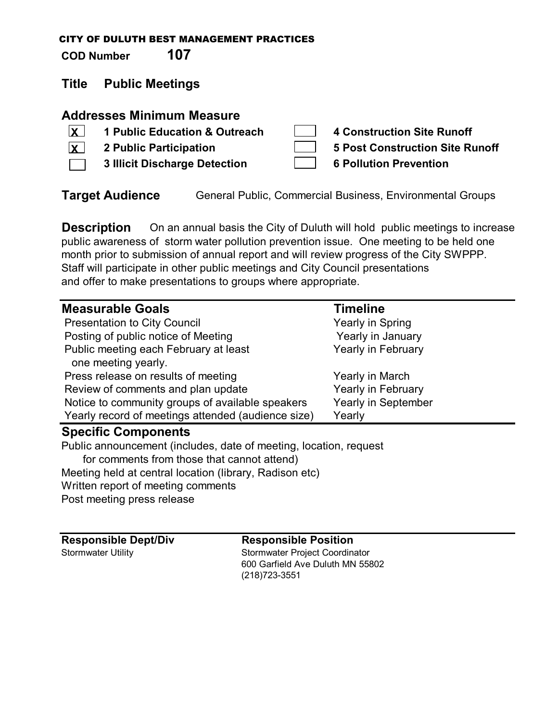**COD Number 107**

# **Title Public Meetings**

# **Addresses Minimum Measure**

**1 Public Education & Outreach 4 Construction Site Runoff 2 Public Participation 5 Post Construction Site Runoff 3 Illicit Discharge Detection 6 Pollution Prevention**  $\vert$ **x**  $\vert$ **X**

**Target Audience** General Public, Commercial Business, Environmental Groups

**Description** On an annual basis the City of Duluth will hold public meetings to increase public awareness of storm water pollution prevention issue. One meeting to be held one month prior to submission of annual report and will review progress of the City SWPPP. Staff will participate in other public meetings and City Council presentations and offer to make presentations to groups where appropriate.

| <b>Measurable Goals</b>                                           | <b>Timeline</b>     |  |  |
|-------------------------------------------------------------------|---------------------|--|--|
| <b>Presentation to City Council</b>                               | Yearly in Spring    |  |  |
| Posting of public notice of Meeting                               | Yearly in January   |  |  |
| Public meeting each February at least                             | Yearly in February  |  |  |
| one meeting yearly.                                               |                     |  |  |
| Press release on results of meeting                               | Yearly in March     |  |  |
| Review of comments and plan update                                | Yearly in February  |  |  |
| Notice to community groups of available speakers                  | Yearly in September |  |  |
| Yearly record of meetings attended (audience size)                | Yearly              |  |  |
| <b>Specific Components</b>                                        |                     |  |  |
| Public announcement (includes, date of meeting, location, request |                     |  |  |
| for comments from those that cannot attend)                       |                     |  |  |
| Meeting held at central location (library, Radison etc)           |                     |  |  |
|                                                                   |                     |  |  |

Written report of meeting comments

Post meeting press release

**Responsible Dept/Div Responsible Position** Stormwater Utility Stormwater Project Coordinator 600 Garfield Ave Duluth MN 55802 (218)723-3551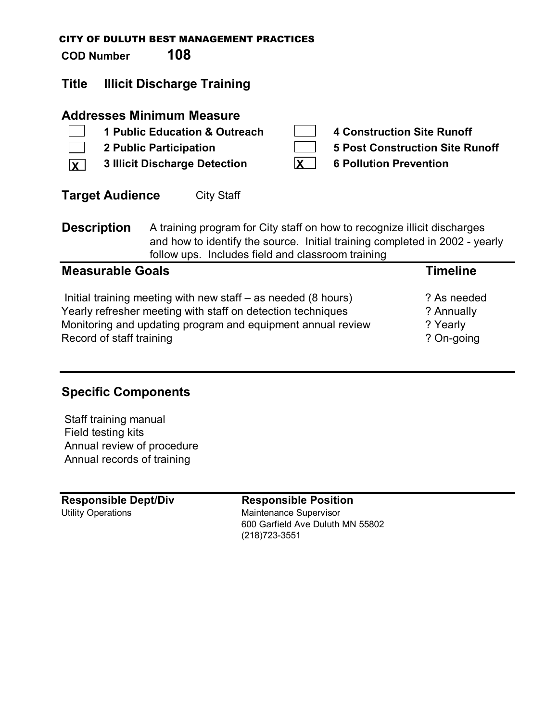| <b>COD Number</b>                                                                                                                                                                                                                  |                         | 108                                                                                                                                                                                                                                  | <b>CITY OF DULUTH BEST MANAGEMENT PRACTICES</b> |          |                                                                                                              |                 |
|------------------------------------------------------------------------------------------------------------------------------------------------------------------------------------------------------------------------------------|-------------------------|--------------------------------------------------------------------------------------------------------------------------------------------------------------------------------------------------------------------------------------|-------------------------------------------------|----------|--------------------------------------------------------------------------------------------------------------|-----------------|
| <b>Title</b>                                                                                                                                                                                                                       |                         | <b>Illicit Discharge Training</b>                                                                                                                                                                                                    |                                                 |          |                                                                                                              |                 |
| IX.                                                                                                                                                                                                                                |                         | <b>Addresses Minimum Measure</b><br><b>2 Public Participation</b><br><b>3 Illicit Discharge Detection</b>                                                                                                                            | 1 Public Education & Outreach                   | <b>X</b> | <b>4 Construction Site Runoff</b><br><b>5 Post Construction Site Runoff</b><br><b>6 Pollution Prevention</b> |                 |
|                                                                                                                                                                                                                                    | <b>Target Audience</b>  |                                                                                                                                                                                                                                      | <b>City Staff</b>                               |          |                                                                                                              |                 |
| <b>Description</b><br>A training program for City staff on how to recognize illicit discharges<br>and how to identify the source. Initial training completed in 2002 - yearly<br>follow ups. Includes field and classroom training |                         |                                                                                                                                                                                                                                      |                                                 |          |                                                                                                              |                 |
|                                                                                                                                                                                                                                    | <b>Measurable Goals</b> |                                                                                                                                                                                                                                      |                                                 |          |                                                                                                              | <b>Timeline</b> |
|                                                                                                                                                                                                                                    |                         | $\blacksquare$ . The contract of the contract of the contract of the contract of the contract of the contract of the contract of the contract of the contract of the contract of the contract of the contract of the contract of the |                                                 |          |                                                                                                              |                 |

| Initial training meeting with new staff – as needed (8 hours) | ? As needed |
|---------------------------------------------------------------|-------------|
| Yearly refresher meeting with staff on detection techniques   | ? Annually  |
| Monitoring and updating program and equipment annual review   | ? Yearly    |
| Record of staff training                                      | ? On-going  |

# **Specific Components**

 Staff training manual Field testing kits Annual review of procedure Annual records of training

**Responsible Dept/Div Responsible Position** Utility Operations **Maintenance Supervisor** 

600 Garfield Ave Duluth MN 55802 (218)723-3551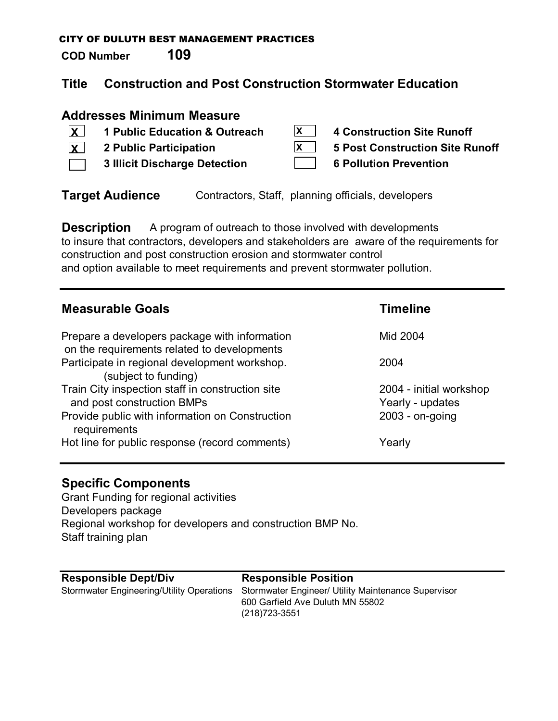**COD Number 109**

# **Title Construction and Post Construction Stormwater Education**

# **Addresses Minimum Measure**

| $\overline{\mathbf{x}}$ | 1 Public Education & Outreach        | 4 Construction Site Runoff      |
|-------------------------|--------------------------------------|---------------------------------|
| $\overline{\mathbf{x}}$ | 2 Public Participation               | 5 Post Construction Site Runoff |
|                         | <b>3 Illicit Discharge Detection</b> | <b>6 Pollution Prevention</b>   |

**Target Audience** Contractors, Staff, planning officials, developers

**Description** A program of outreach to those involved with developments to insure that contractors, developers and stakeholders are aware of the requirements for construction and post construction erosion and stormwater control and option available to meet requirements and prevent stormwater pollution.

| <b>Measurable Goals</b>                                                                      | <b>Timeline</b>                             |
|----------------------------------------------------------------------------------------------|---------------------------------------------|
| Prepare a developers package with information<br>on the requirements related to developments | Mid 2004                                    |
| Participate in regional development workshop.<br>(subject to funding)                        | 2004                                        |
| Train City inspection staff in construction site<br>and post construction BMPs               | 2004 - initial workshop<br>Yearly - updates |
| Provide public with information on Construction<br>requirements                              | $2003 - on-going$                           |
| Hot line for public response (record comments)                                               | Yearly                                      |

# **Specific Components**

Grant Funding for regional activities Developers package Regional workshop for developers and construction BMP No. Staff training plan

### **Responsible Dept/Div Responsible Position** Stormwater Engineering/Utility Operations Stormwater Engineer/ Utility Maintenance Supervisor 600 Garfield Ave Duluth MN 55802 (218)723-3551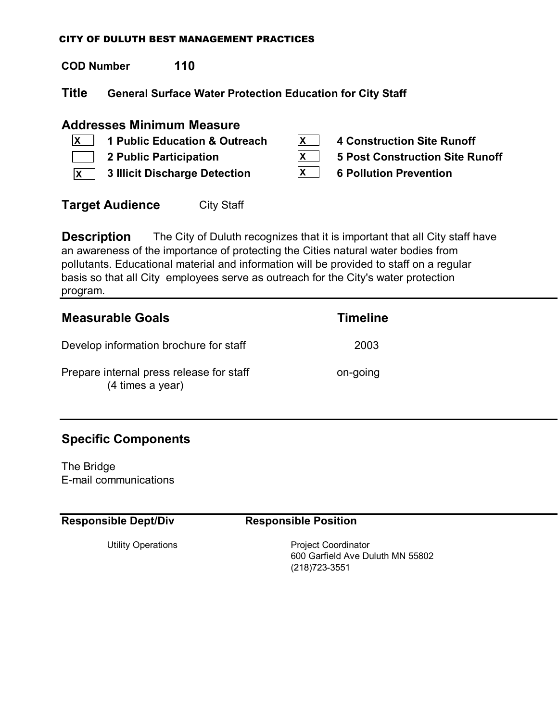**COD Number 110**

**Title General Surface Water Protection Education for City Staff**

## **Addresses Minimum Measure**

- **1 Public Education & Outreach 4 Construction Site Runoff**  $\vert x \vert$
- 
- **3 Illicit Discharge Detection 6 Pollution Prevention X**
- **X X X**
- 
- **2 Public Participation 5 Post Construction Site Runoff**
- **Target Audience** City Staff

**Description** The City of Duluth recognizes that it is important that all City staff have an awareness of the importance of protecting the Cities natural water bodies from pollutants. Educational material and information will be provided to staff on a regular basis so that all City employees serve as outreach for the City's water protection program.

| <b>Measurable Goals</b>                                      | <b>Timeline</b> |
|--------------------------------------------------------------|-----------------|
| Develop information brochure for staff                       | 2003            |
| Prepare internal press release for staff<br>(4 times a year) | on-going        |

# **Specific Components**

The Bridge E-mail communications

**Responsible Dept/Div Responsible Position**

Utility Operations **Project Coordinator** 600 Garfield Ave Duluth MN 55802 (218)723-3551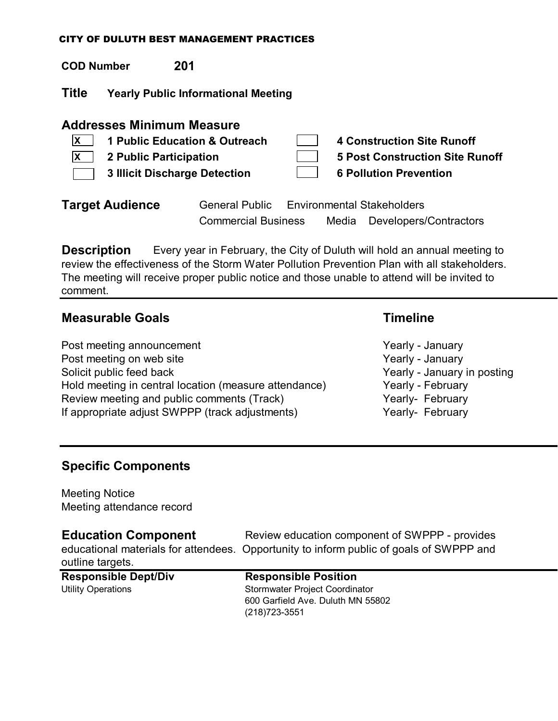| <b>COD Number</b>                                                                                                                                                                                                                                                           |                                            | 201                                                 |  |                                            |                        |
|-----------------------------------------------------------------------------------------------------------------------------------------------------------------------------------------------------------------------------------------------------------------------------|--------------------------------------------|-----------------------------------------------------|--|--------------------------------------------|------------------------|
| <b>Title</b>                                                                                                                                                                                                                                                                | <b>Yearly Public Informational Meeting</b> |                                                     |  |                                            |                        |
| <b>Addresses Minimum Measure</b><br>1 Public Education & Outreach<br><b>4 Construction Site Runoff</b><br>X<br><b>5 Post Construction Site Runoff</b><br><b>2 Public Participation</b><br><b>X</b><br><b>6 Pollution Prevention</b><br><b>3 Illicit Discharge Detection</b> |                                            |                                                     |  |                                            |                        |
|                                                                                                                                                                                                                                                                             | <b>Target Audience</b>                     | <b>General Public</b><br><b>Commercial Business</b> |  | <b>Environmental Stakeholders</b><br>Media | Developers/Contractors |

**Description** Every year in February, the City of Duluth will hold an annual meeting to review the effectiveness of the Storm Water Pollution Prevention Plan with all stakeholders. The meeting will receive proper public notice and those unable to attend will be invited to comment.

## **Measurable Goals Timeline**

Post meeting announcement The Vearly - January Post meeting on web site Yearly - January Solicit public feed back Solicit public feed back Yearly - January in posting Hold meeting in central location (measure attendance) Yearly - February Review meeting and public comments (Track) The Mearly- February If appropriate adjust SWPPP (track adjustments) Yearly- February

## **Specific Components**

Meeting Notice Meeting attendance record

**Education Component** Review education component of SWPPP - provides educational materials for attendees. Opportunity to inform public of goals of SWPPP and outline targets.

## **Responsible Dept/Div Responsible Position**

# Utility Operations **Stormwater Project Coordinator** Stormwater Project Coordinator 600 Garfield Ave. Duluth MN 55802 (218)723-3551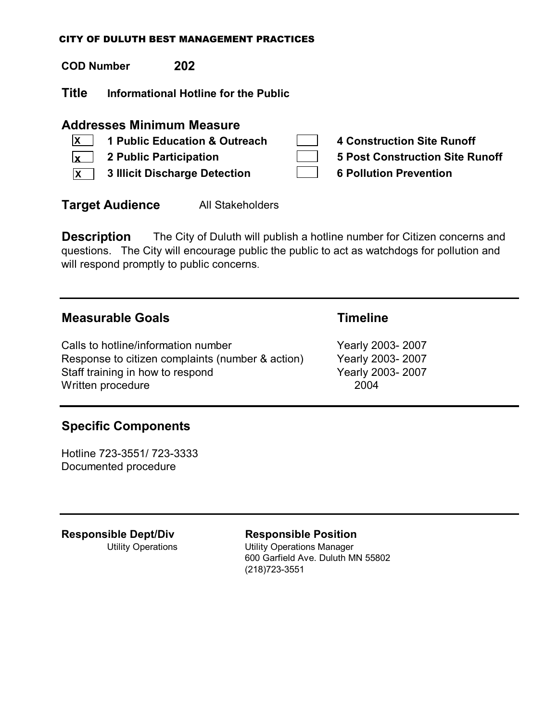**COD Number 202**

**Title Informational Hotline for the Public**

## **Addresses Minimum Measure**

- **1 Public Education & Outreach 4 Construction Site Runoff**  $\vert$ **x**  $\vert$
- **2 Public Participation 5 Post Construction Site Runoff x** |
- **3 Illicit Discharge Detection 6 Pollution Prevention X**

- 
- **Target Audience** All Stakeholders

**Description** The City of Duluth will publish a hotline number for Citizen concerns and questions. The City will encourage public the public to act as watchdogs for pollution and will respond promptly to public concerns.

## **Measurable Goals Timeline**

Calls to hotline/information number Yearly 2003-2007 Response to citizen complaints (number & action) Yearly 2003- 2007 Staff training in how to respond Yearly 2003-2007 Written procedure 2004

## **Specific Components**

Hotline 723-3551/ 723-3333 Documented procedure

**Responsible Dept/Div Responsible Position**

Utility Operations Utility Operations Manager 600 Garfield Ave. Duluth MN 55802 (218)723-3551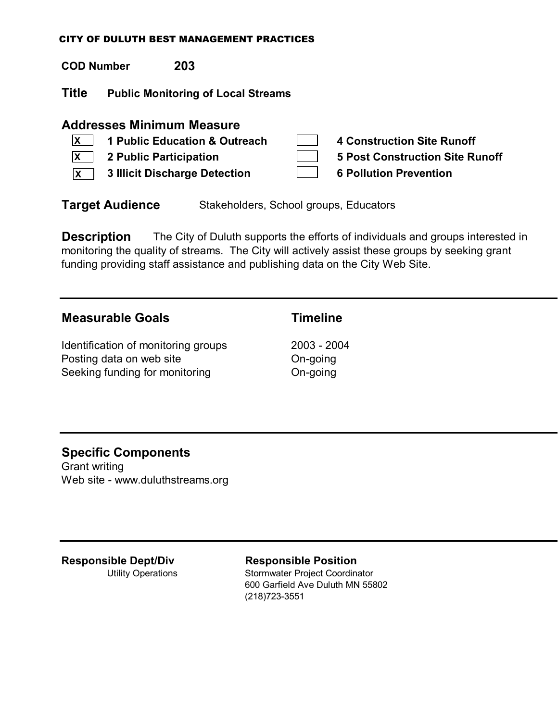**COD Number 203**

**Title Public Monitoring of Local Streams**

## **Addresses Minimum Measure**

|              | $ X $ 1 Public Education & Outreach    | 4 Construction Site Runoff      |
|--------------|----------------------------------------|---------------------------------|
|              | $\vert x \vert$ 2 Public Participation | 5 Post Construction Site Runoff |
| $\mathsf{X}$ | 3 Illicit Discharge Detection          | <b>6 Pollution Prevention</b>   |

**Target Audience** Stakeholders, School groups, Educators

**Description** The City of Duluth supports the efforts of individuals and groups interested in monitoring the quality of streams. The City will actively assist these groups by seeking grant funding providing staff assistance and publishing data on the City Web Site.

# **Measurable Goals Timeline**

Identification of monitoring groups 2003 - 2004 Posting data on web site **Contact Con-going** Do-going Seeking funding for monitoring The Con-going

# **Specific Components**

Grant writing Web site - www.duluthstreams.org

**Responsible Dept/Div Responsible Position**

Utility Operations Stormwater Project Coordinator 600 Garfield Ave Duluth MN 55802 (218)723-3551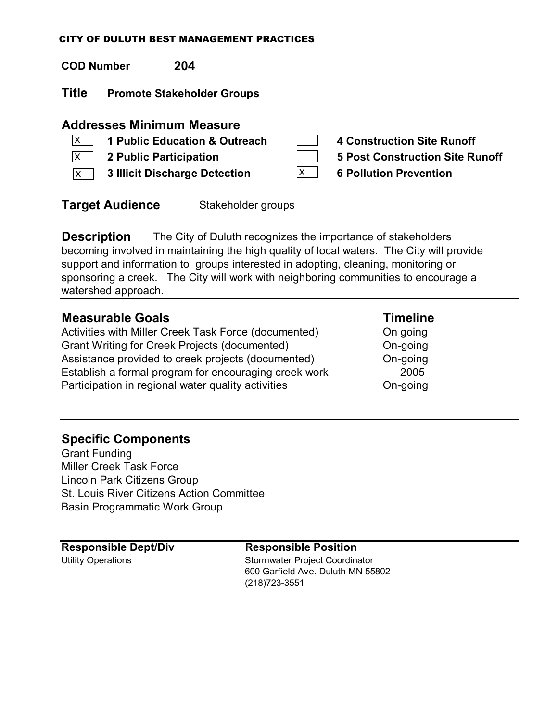| <b>COD Number</b> | 204 |
|-------------------|-----|
|                   |     |

**Title Promote Stakeholder Groups**

## **Addresses Minimum Measure**

- **1 Public Education & Outreach 4 Construction Site Runoff**  $\overline{\mathsf{x}}$
- $\boxed{\mathsf{X}}$
- $\overline{{\sf x}}$  3 Illicit Discharge Detection **6**  $\overline{{\sf x}}$  6 Pollution Prevention

- **2 Public Participation 5 Post Construction Site Runoff**
	-

**Target Audience** Stakeholder groups

**Description** The City of Duluth recognizes the importance of stakeholders becoming involved in maintaining the high quality of local waters. The City will provide support and information to groups interested in adopting, cleaning, monitoring or sponsoring a creek. The City will work with neighboring communities to encourage a watershed approach.

| <b>Measurable Goals</b>                               | <b>Timeline</b> |
|-------------------------------------------------------|-----------------|
| Activities with Miller Creek Task Force (documented)  | On going        |
| <b>Grant Writing for Creek Projects (documented)</b>  | On-going        |
| Assistance provided to creek projects (documented)    | On-going        |
| Establish a formal program for encouraging creek work | 2005            |
| Participation in regional water quality activities    | On-going        |

## **Specific Components**

Grant Funding Miller Creek Task Force Lincoln Park Citizens Group St. Louis River Citizens Action Committee Basin Programmatic Work Group

**Responsible Dept/Div Responsible Position** Utility Operations **Stormwater Project Coordinator** 600 Garfield Ave. Duluth MN 55802 (218)723-3551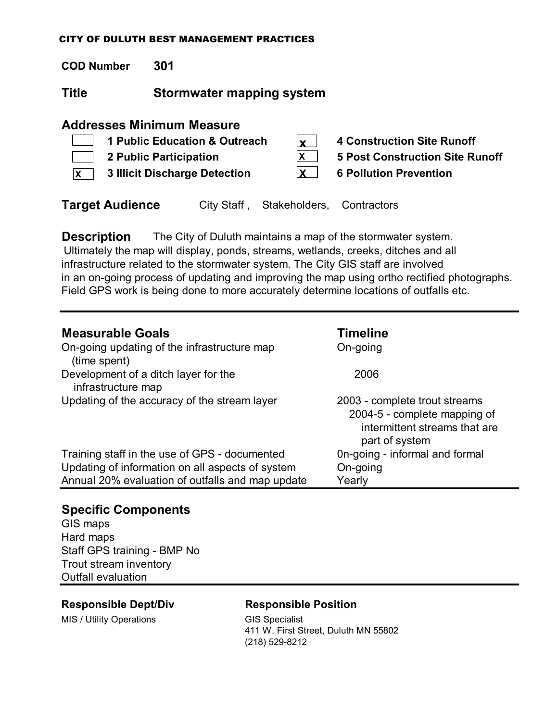**COD Number 301**

**Title Stormwater mapping system**

# **Addresses Minimum Measure**

| $\mathbf{1}$ | 1 Public Education & Outreach | $\mathbf{v}$ | <b>4 Construction Site Runoff</b>      |
|--------------|-------------------------------|--------------|----------------------------------------|
|              | 2 Public Participation        |              | <b>5 Post Construction Site Runoff</b> |
| $\mathsf{X}$ | 3 Illicit Discharge Detection |              | <b>6 Pollution Prevention</b>          |
|              |                               |              |                                        |

**Target Audience** City Staff, Stakeholders, Contractors

**Description** The City of Duluth maintains a map of the stormwater system. Ultimately the map will display, ponds, streams, wetlands, creeks, ditches and all infrastructure related to the stormwater system. The City GIS staff are involved in an on-going process of updating and improving the map using ortho rectified photographs. Field GPS work is being done to more accurately determine locations of outfalls etc.

| <b>Measurable Goals</b>                                     | <b>Timeline</b>                                                                                                  |
|-------------------------------------------------------------|------------------------------------------------------------------------------------------------------------------|
| On-going updating of the infrastructure map<br>(time spent) | On-going                                                                                                         |
| Development of a ditch layer for the<br>infrastructure map  | 2006                                                                                                             |
| Updating of the accuracy of the stream layer                | 2003 - complete trout streams<br>2004-5 - complete mapping of<br>intermittent streams that are<br>part of system |
| Training staff in the use of GPS - documented               | On-going - informal and formal                                                                                   |
| Updating of information on all aspects of system            | On-going                                                                                                         |
| Annual 20% evaluation of outfalls and map update            | Yearly                                                                                                           |

# **Specific Components**

GIS maps Hard maps Staff GPS training - BMP No Trout stream inventory Outfall evaluation

## **Responsible Dept/Div Responsible Position**

MIS / Utility Operations GIS Specialist

411 W. First Street, Duluth MN 55802 (218) 529-8212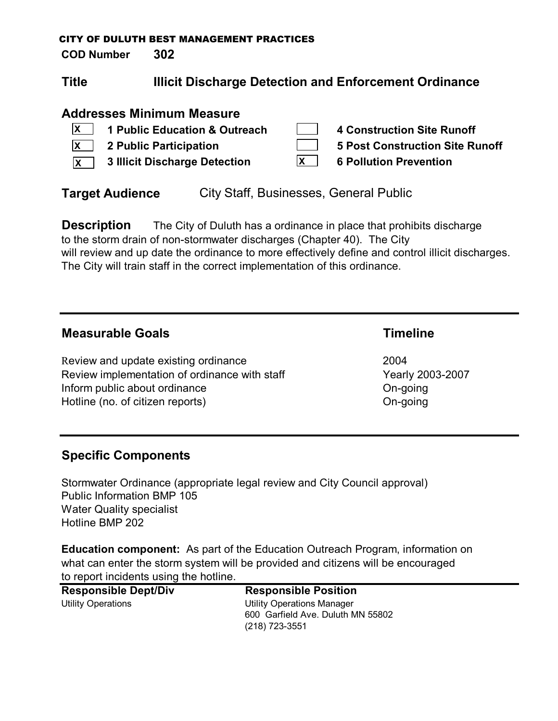**COD Number 302**

# **Title Illicit Discharge Detection and Enforcement Ordinance**

# **Addresses Minimum Measure**

|                   | $\overline{X}$ 1 Public Education & Outreach | 4 Construction Site Runoff      |
|-------------------|----------------------------------------------|---------------------------------|
|                   | $\vert x \vert$ 2 Public Participation       | 5 Post Construction Site Runoff |
| $\mathsf{\times}$ | <b>3 Illicit Discharge Detection</b>         | <b>6 Pollution Prevention</b>   |

**Target Audience** City Staff, Businesses, General Public

**Description** The City of Duluth has a ordinance in place that prohibits discharge to the storm drain of non-stormwater discharges (Chapter 40). The City will review and up date the ordinance to more effectively define and control illicit discharges. The City will train staff in the correct implementation of this ordinance.

# **Measurable Goals Timeline**

Review and update existing ordinance **2004** Review implementation of ordinance with staff Yearly 2003-2007 Inform public about ordinance **On-going** Hotline (no. of citizen reports) Changes and Changes Changes Changes Changes Changes Changes Changes Changes Changes Changes Changes Changes Changes Changes Changes Changes Changes Changes Changes Changes Changes Changes C

# **Specific Components**

Stormwater Ordinance (appropriate legal review and City Council approval) Public Information BMP 105 Water Quality specialist Hotline BMP 202

**Education component:** As part of the Education Outreach Program, information on what can enter the storm system will be provided and citizens will be encouraged to report incidents using the hotline.

| <b>Responsible Dept/Div</b> | <b>Responsible Position</b>       |
|-----------------------------|-----------------------------------|
| Utility Operations          | <b>Utility Operations Manager</b> |
|                             | 600 Garfield Ave. Duluth MN 55802 |
|                             | (218) 723-3551                    |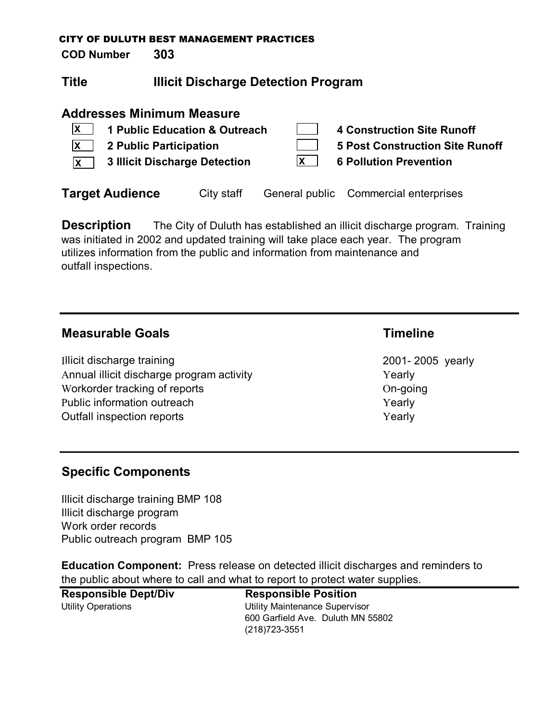**COD Number 303**

# **Title Illicit Discharge Detection Program**

## **Addresses Minimum Measure**

| 1 Public Education & Outreach<br><b>2 Public Participation</b><br><b>3 Illicit Discharge Detection</b><br>$\mathbf{x}$ |            | <b>4 Construction Site Runoff</b><br><b>5 Post Construction Site Runoff</b><br><b>6 Pollution Prevention</b> |
|------------------------------------------------------------------------------------------------------------------------|------------|--------------------------------------------------------------------------------------------------------------|
| <b>Target Audience</b>                                                                                                 | City staff | General public Commercial enterprises                                                                        |

**Description** The City of Duluth has established an illicit discharge program. Training was initiated in 2002 and updated training will take place each year. The program utilizes information from the public and information from maintenance and outfall inspections.

## **Measurable Goals Timeline**

Illicit discharge training 2001-2005 yearly Annual illicit discharge program activity **The Contract of Contract Contract Contract Contract Contract Contract Contract Contract Contract Contract Contract Contract Contract Contract Contract Contract Contract Contract C** Workorder tracking of reports On-going Public information outreach **Yearly** Yearly Outfall inspection reports The Contract of the Vearly Yearly

# **Specific Components**

Illicit discharge training BMP 108 Illicit discharge program Work order records Public outreach program BMP 105

**Education Component:** Press release on detected illicit discharges and reminders to the public about where to call and what to report to protect water supplies.

**Responsible Dept/Div Responsible Position** Utility Operations Utility Maintenance Supervisor 600 Garfield Ave. Duluth MN 55802 (218)723-3551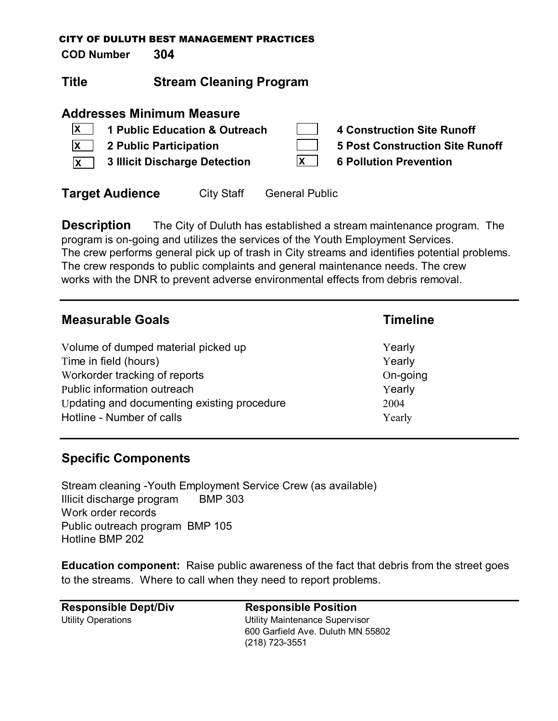**COD Number 304**

# **Title Stream Cleaning Program**

## **Addresses Minimum Measure**

|              | 1 Public Education & Outreach | <b>4 Construction Site Runoff</b> |
|--------------|-------------------------------|-----------------------------------|
| X            | 2 Public Participation        | 5 Post Construction Site Runoff   |
| $\mathsf{X}$ | 3 Illicit Discharge Detection | <b>6 Pollution Prevention</b>     |

**Target Audience** City Staff General Public

**Description** The City of Duluth has established a stream maintenance program. The program is on-going and utilizes the services of the Youth Employment Services. The crew performs general pick up of trash in City streams and identifies potential problems. The crew responds to public complaints and general maintenance needs. The crew works with the DNR to prevent adverse environmental effects from debris removal.

| <b>Measurable Goals</b>                     | <b>Timeline</b> |
|---------------------------------------------|-----------------|
| Volume of dumped material picked up         | Yearly          |
| Time in field (hours)                       | Yearly          |
| Workorder tracking of reports               | On-going        |
| Public information outreach                 | Yearly          |
| Updating and documenting existing procedure | 2004            |
| Hotline - Number of calls                   | Yearly          |

# **Specific Components**

Stream cleaning -Youth Employment Service Crew (as available) Illicit discharge program BMP 303 Work order records Public outreach program BMP 105 Hotline BMP 202

**Education component:** Raise public awareness of the fact that debris from the street goes to the streams. Where to call when they need to report problems.

**Responsible Dept/Div Responsible Position** Utility Operations Utility Maintenance Supervisor 600 Garfield Ave. Duluth MN 55802 (218) 723-3551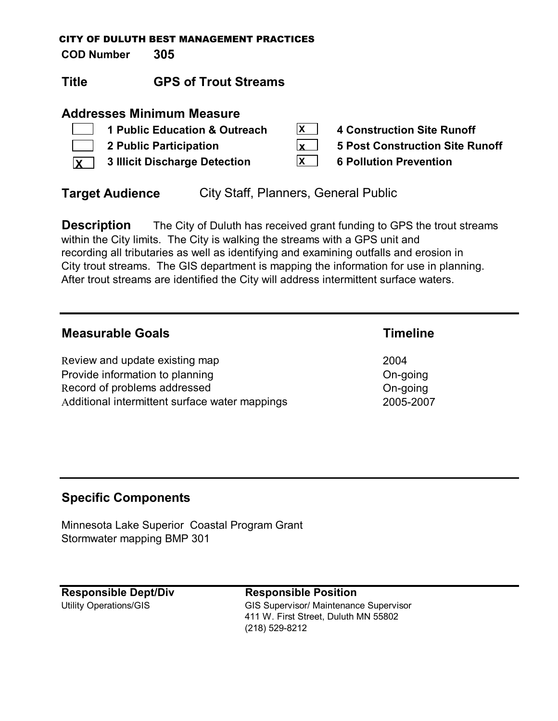**COD Number 305**

## **Title GPS of Trout Streams**

## **Addresses Minimum Measure**

|                             | 1 Public Education & Outreach                     | X            | <b>4 Construction Site Runoff</b> |
|-----------------------------|---------------------------------------------------|--------------|-----------------------------------|
| $\mathcal{L} = \mathcal{L}$ | 2 Public Participation                            |              | 5 Post Construction Site Runoff   |
|                             | $\sqrt{\mathbf{x}}$ 3 Illicit Discharge Detection | $\mathsf{X}$ | <b>6 Pollution Prevention</b>     |

**Target Audience** City Staff, Planners, General Public

**Description** The City of Duluth has received grant funding to GPS the trout streams within the City limits. The City is walking the streams with a GPS unit and recording all tributaries as well as identifying and examining outfalls and erosion in City trout streams. The GIS department is mapping the information for use in planning. After trout streams are identified the City will address intermittent surface waters.

## **Measurable Goals Timeline**

Review and update existing map 2004 Provide information to planning Development Con-going Record of problems addressed **On-going** Additional intermittent surface water mappings 2005-2007

## **Specific Components**

Minnesota Lake Superior Coastal Program Grant Stormwater mapping BMP 301

# **Responsible Dept/Div Responsible Position**

Utility Operations/GIS extending the GIS Supervisor/ Maintenance Supervisor 411 W. First Street, Duluth MN 55802 (218) 529-8212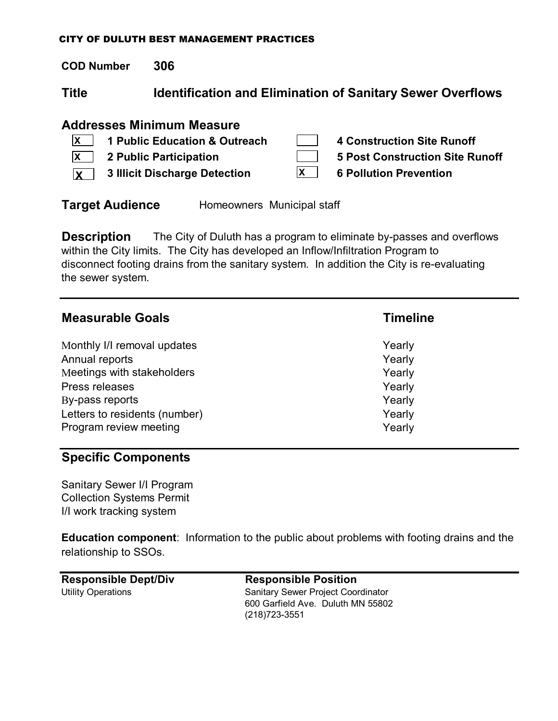**COD Number 306**

**Title Identification and Elimination of Sanitary Sewer Overflows**

## **Addresses Minimum Measure**

|              | $ X $ 1 Public Education & Outreach   |   | 4 Construction Site Runoff      |
|--------------|---------------------------------------|---|---------------------------------|
|              | $\overline{X}$ 2 Public Participation |   | 5 Post Construction Site Runoff |
| $\mathbf{x}$ | 3 Illicit Discharge Detection         | X | <b>6 Pollution Prevention</b>   |

**Target Audience** Homeowners Municipal staff

**Description** The City of Duluth has a program to eliminate by-passes and overflows within the City limits. The City has developed an Inflow/Infiltration Program to disconnect footing drains from the sanitary system. In addition the City is re-evaluating the sewer system.

| <b>Measurable Goals</b>       | <b>Timeline</b> |
|-------------------------------|-----------------|
| Monthly I/I removal updates   | Yearly          |
| Annual reports                | Yearly          |
| Meetings with stakeholders    | Yearly          |
| Press releases                | Yearly          |
| By-pass reports               | Yearly          |
| Letters to residents (number) | Yearly          |
| Program review meeting        | Yearly          |

## **Specific Components**

Sanitary Sewer I/I Program Collection Systems Permit I/I work tracking system

**Education component**: Information to the public about problems with footing drains and the relationship to SSOs.

| <b>Responsible Dept/Div</b> | <b>Responsible Position</b>               |
|-----------------------------|-------------------------------------------|
| Utility Operations          | <b>Sanitary Sewer Project Coordinator</b> |
|                             | 600 Garfield Ave. Duluth MN 55802         |
|                             | (218) 723-3551                            |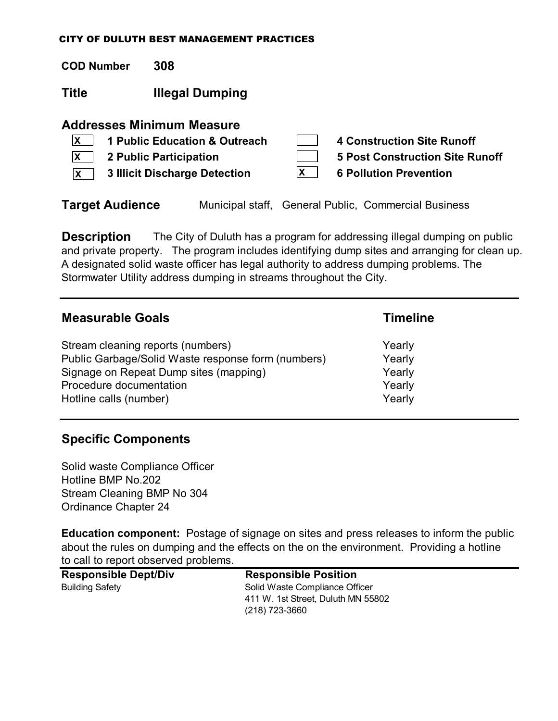**COD Number 308**

**Title Illegal Dumping**

## **Addresses Minimum Measure**

|              | $\mathbf{X}$   1 Public Education & Outreach |   | 4 Construction Site Runoff      |
|--------------|----------------------------------------------|---|---------------------------------|
|              | $\overline{X}$ 2 Public Participation        |   | 5 Post Construction Site Runoff |
| $\mathsf{X}$ | 3 Illicit Discharge Detection                | X | <b>6 Pollution Prevention</b>   |

**Target Audience** Municipal staff, General Public, Commercial Business

**Description** The City of Duluth has a program for addressing illegal dumping on public and private property. The program includes identifying dump sites and arranging for clean up. A designated solid waste officer has legal authority to address dumping problems. The Stormwater Utility address dumping in streams throughout the City.

| <b>Measurable Goals</b>                            | <b>Timeline</b> |  |
|----------------------------------------------------|-----------------|--|
| Stream cleaning reports (numbers)                  | Yearly          |  |
| Public Garbage/Solid Waste response form (numbers) | Yearly          |  |
| Signage on Repeat Dump sites (mapping)             | Yearly          |  |
| Procedure documentation                            | Yearly          |  |
| Hotline calls (number)                             | Yearly          |  |

## **Specific Components**

Solid waste Compliance Officer Hotline BMP No.202 Stream Cleaning BMP No 304 Ordinance Chapter 24

**Education component:** Postage of signage on sites and press releases to inform the public about the rules on dumping and the effects on the on the environment. Providing a hotline to call to report observed problems.

| <b>Responsible Dept/Div</b> | <b>Responsible Position</b>        |  |
|-----------------------------|------------------------------------|--|
| <b>Building Safety</b>      | Solid Waste Compliance Officer     |  |
|                             | 411 W. 1st Street, Duluth MN 55802 |  |
|                             | $(218)$ 723-3660                   |  |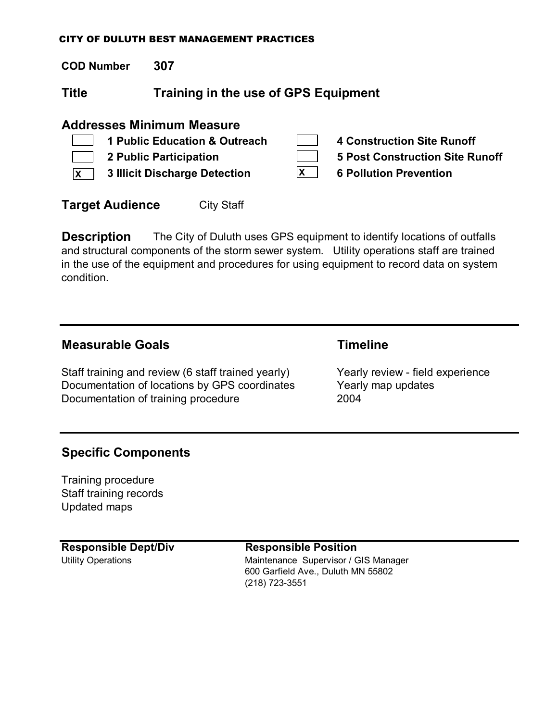**COD Number 307**

**Title Training in the use of GPS Equipment**

## **Addresses Minimum Measure**

|              | 1 Public Education & Outreach        | <b>4 Construction Site Runoff</b>      |
|--------------|--------------------------------------|----------------------------------------|
|              | <b>2 Public Participation</b>        | <b>5 Post Construction Site Runoff</b> |
| $\mathsf{X}$ | <b>3 Illicit Discharge Detection</b> | <b>6 Pollution Prevention</b>          |
|              |                                      |                                        |

**Target Audience** City Staff

**Description** The City of Duluth uses GPS equipment to identify locations of outfalls and structural components of the storm sewer system. Utility operations staff are trained in the use of the equipment and procedures for using equipment to record data on system condition.

## **Measurable Goals Timeline**

Staff training and review (6 staff trained yearly) Yearly review - field experience Documentation of locations by GPS coordinates Yearly map updates Documentation of training procedure 2004

## **Specific Components**

Training procedure Staff training records Updated maps

### **Responsible Dept/Div Responsible Position**

Utility Operations **Maintenance Supervisor / GIS Manager** Maintenance Supervisor / GIS Manager 600 Garfield Ave., Duluth MN 55802 (218) 723-3551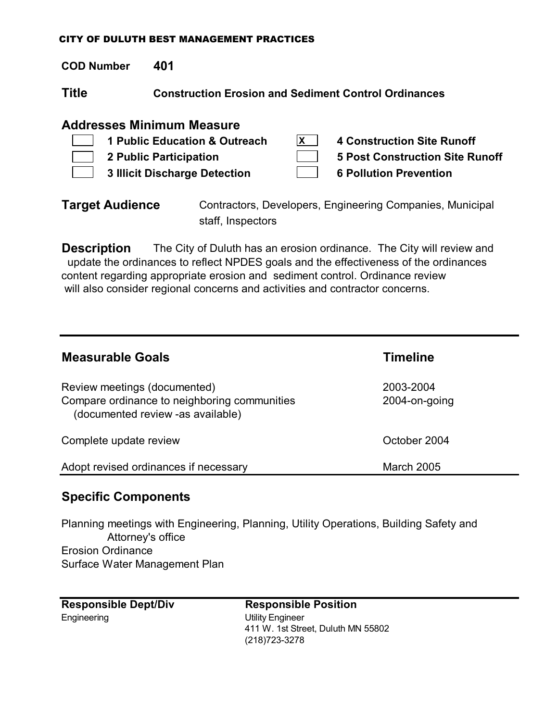**COD Number 401**

**Title Construction Erosion and Sediment Control Ordinances**

## **Addresses Minimum Measure**

| 1 Public Education & Outreach | 4 Construction Site Runoff             |
|-------------------------------|----------------------------------------|
| 2 Public Participation        | <b>5 Post Construction Site Runoff</b> |
| 3 Illicit Discharge Detection | <b>6 Pollution Prevention</b>          |

**Target Audience** Contractors, Developers, Engineering Companies, Municipal staff, Inspectors

**Description** The City of Duluth has an erosion ordinance. The City will review and update the ordinances to reflect NPDES goals and the effectiveness of the ordinances content regarding appropriate erosion and sediment control. Ordinance review will also consider regional concerns and activities and contractor concerns.

| <b>Measurable Goals</b>                                                                                           | <b>Timeline</b>            |
|-------------------------------------------------------------------------------------------------------------------|----------------------------|
| Review meetings (documented)<br>Compare ordinance to neighboring communities<br>(documented review -as available) | 2003-2004<br>2004-on-going |
| Complete update review                                                                                            | October 2004               |
| Adopt revised ordinances if necessary                                                                             | <b>March 2005</b>          |

## **Specific Components**

Planning meetings with Engineering, Planning, Utility Operations, Building Safety and Attorney's office Erosion Ordinance Surface Water Management Plan

| <b>Responsible Dept/Div</b> |  |
|-----------------------------|--|
| Engineering                 |  |

**Responsible Dept/Div Responsible Position** Utility Engineer 411 W. 1st Street, Duluth MN 55802 (218)723-3278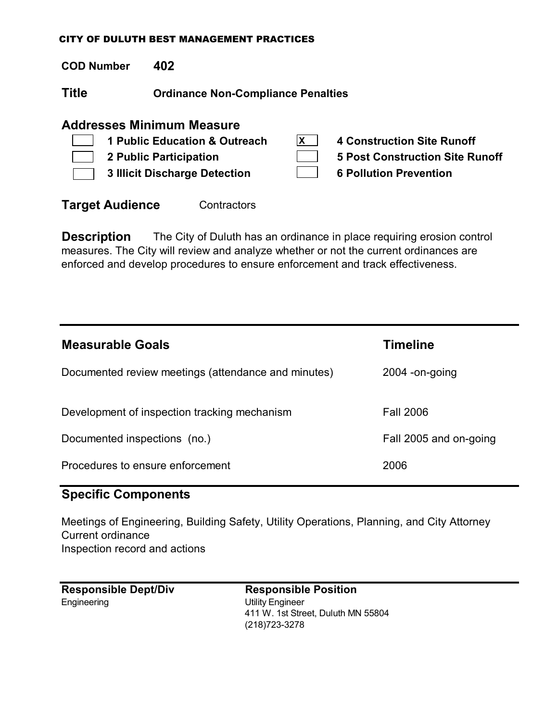**COD Number 402**

 $\sqrt{ }$ 

**Title Ordinance Non-Compliance Penalties**

## **Addresses Minimum Measure**

| <b>1 Public Education &amp; Outreach</b> | <b>4 Construction Site Runoff</b> |
|------------------------------------------|-----------------------------------|
| <b>2 Public Participation</b>            | 5 Post Construction Site Runoff   |
| <b>3 Illicit Discharge Detection</b>     | <b>6 Pollution Prevention</b>     |
|                                          |                                   |

**Target Audience Contractors** 

**Description** The City of Duluth has an ordinance in place requiring erosion control measures. The City will review and analyze whether or not the current ordinances are enforced and develop procedures to ensure enforcement and track effectiveness.

| <b>Measurable Goals</b>                             | Timeline               |
|-----------------------------------------------------|------------------------|
| Documented review meetings (attendance and minutes) | $2004$ -on-going       |
| Development of inspection tracking mechanism        | <b>Fall 2006</b>       |
| Documented inspections (no.)                        | Fall 2005 and on-going |
| Procedures to ensure enforcement                    | 2006                   |

## **Specific Components**

Meetings of Engineering, Building Safety, Utility Operations, Planning, and City Attorney Current ordinance Inspection record and actions

| <b>Responsible Dept/Div</b> | Re   |
|-----------------------------|------|
| Engineering                 | Util |
|                             | 411  |

**Responsible Position** ity Engineer 1 W. 1st Street, Duluth MN 55804 (218)723-3278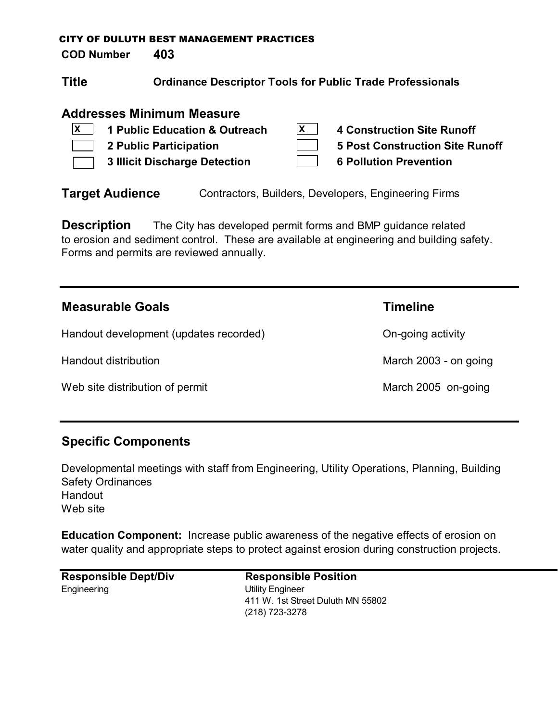**COD Number 403**

| <b>Title</b><br><b>Ordinance Descriptor Tools for Public Trade Professionals</b> |  |
|----------------------------------------------------------------------------------|--|
|                                                                                  |  |

## **Addresses Minimum Measure**

| $\mathbf{X}$ 1 Public Education & Outreach | 4 Construction Site Runoff             |
|--------------------------------------------|----------------------------------------|
| 2 Public Participation                     | <b>5 Post Construction Site Runoff</b> |
| 3 Illicit Discharge Detection              | <b>6 Pollution Prevention</b>          |

**Target Audience** Contractors, Builders, Developers, Engineering Firms

**Description** The City has developed permit forms and BMP guidance related to erosion and sediment control. These are available at engineering and building safety. Forms and permits are reviewed annually.

| <b>Measurable Goals</b>                | <b>Timeline</b>       |
|----------------------------------------|-----------------------|
| Handout development (updates recorded) | On-going activity     |
| Handout distribution                   | March 2003 - on going |
| Web site distribution of permit        | March 2005 on-going   |

## **Specific Components**

Developmental meetings with staff from Engineering, Utility Operations, Planning, Building Safety Ordinances Handout Web site

**Education Component:** Increase public awareness of the negative effects of erosion on water quality and appropriate steps to protect against erosion during construction projects.

**Responsible Dept/Div Responsible Position** Engineering Utility Engineer

411 W. 1st Street Duluth MN 55802 (218) 723-3278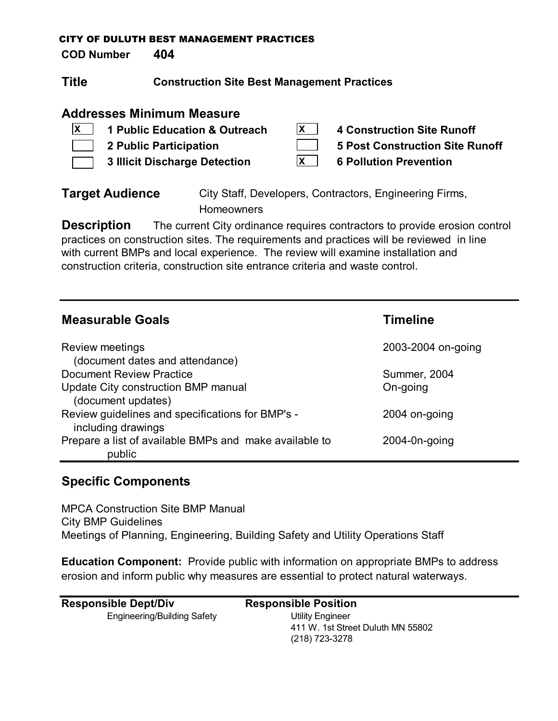**COD Number 404**

| <b>Title</b> | <b>Construction Site Best Management Practices</b> |
|--------------|----------------------------------------------------|
|--------------|----------------------------------------------------|

## **Addresses Minimum Measure**

| $\mathsf{X}$ | 1 Public Education & Outreach        | 4 Construction Site Runoff      |
|--------------|--------------------------------------|---------------------------------|
|              | 2 Public Participation               | 5 Post Construction Site Runoff |
|              | <b>3 Illicit Discharge Detection</b> | <b>6 Pollution Prevention</b>   |

**Target Audience** City Staff, Developers, Contractors, Engineering Firms, **Homeowners** 

**Description** The current City ordinance requires contractors to provide erosion control practices on construction sites. The requirements and practices will be reviewed in line with current BMPs and local experience. The review will examine installation and construction criteria, construction site entrance criteria and waste control.

| <b>Measurable Goals</b>                                                | <b>Timeline</b>     |
|------------------------------------------------------------------------|---------------------|
| Review meetings<br>(document dates and attendance)                     | 2003-2004 on-going  |
| <b>Document Review Practice</b>                                        | <b>Summer, 2004</b> |
| Update City construction BMP manual<br>(document updates)              | On-going            |
| Review guidelines and specifications for BMP's -<br>including drawings | 2004 on-going       |
| Prepare a list of available BMPs and make available to<br>public       | $2004 - 0n$ -going  |

## **Specific Components**

MPCA Construction Site BMP Manual City BMP Guidelines Meetings of Planning, Engineering, Building Safety and Utility Operations Staff

**Education Component:** Provide public with information on appropriate BMPs to address erosion and inform public why measures are essential to protect natural waterways.

| <b>Responsible Dept/Div</b> | <b>Responsible Position</b>       |
|-----------------------------|-----------------------------------|
| Engineering/Building Safety | Utility Engineer                  |
|                             | 411 W. 1st Street Duluth MN 55802 |
|                             | (218) 723-3278                    |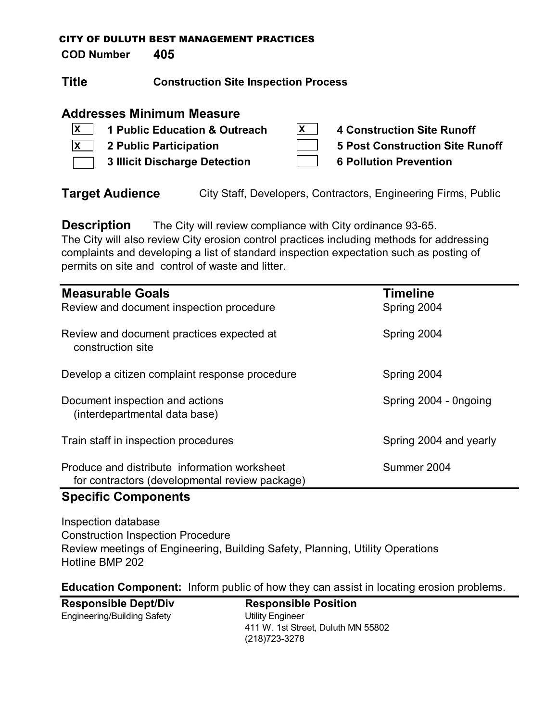**COD Number 405**

| Title | <b>Construction Site Inspection Process</b> |
|-------|---------------------------------------------|
|-------|---------------------------------------------|

## **Addresses Minimum Measure**

| $\mathbf{X}$ 1 Public Education & Outreach | <b>4 Construction Site Runoff</b> |
|--------------------------------------------|-----------------------------------|
| $\vert x \vert$ 2 Public Participation     | 5 Post Construction Site Runoff   |
| 3 Illicit Discharge Detection              | <b>6 Pollution Prevention</b>     |

**Target Audience** City Staff, Developers, Contractors, Engineering Firms, Public

**Description** The City will review compliance with City ordinance 93-65. The City will also review City erosion control practices including methods for addressing complaints and developing a list of standard inspection expectation such as posting of permits on site and control of waste and litter.

| <b>Measurable Goals</b><br>Review and document inspection procedure                            | <b>Timeline</b><br>Spring 2004 |
|------------------------------------------------------------------------------------------------|--------------------------------|
| Review and document practices expected at<br>construction site                                 | Spring 2004                    |
| Develop a citizen complaint response procedure                                                 | Spring 2004                    |
| Document inspection and actions<br>(interdepartmental data base)                               | Spring 2004 - Ongoing          |
| Train staff in inspection procedures                                                           | Spring 2004 and yearly         |
| Produce and distribute information worksheet<br>for contractors (developmental review package) | Summer 2004                    |

## **Specific Components**

Inspection database Construction Inspection Procedure Review meetings of Engineering, Building Safety, Planning, Utility Operations Hotline BMP 202

**Education Component:** Inform public of how they can assist in locating erosion problems.

| <b>Responsible Dept/Div</b> | <b>Responsible Position</b>        |
|-----------------------------|------------------------------------|
| Engineering/Building Safety | Utility Engineer                   |
|                             | 411 W. 1st Street, Duluth MN 55802 |
|                             | (218) 723-3278                     |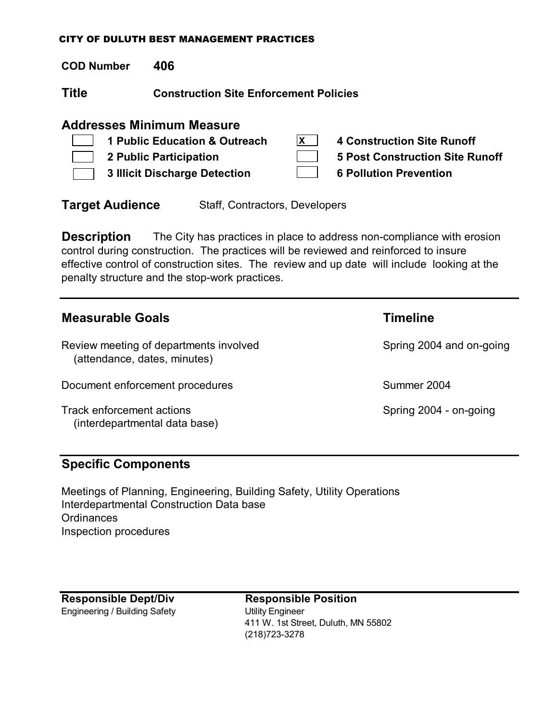**COD Number 406**

**Title Construction Site Enforcement Policies**

## **Addresses Minimum Measure**

|                                    | 1 Public Education & Outreach | 4 Construction Site Runoff             |
|------------------------------------|-------------------------------|----------------------------------------|
|                                    | 2 Public Participation        | <b>5 Post Construction Site Runoff</b> |
| $\mathbb{R}^n \times \mathbb{R}^n$ | 3 Illicit Discharge Detection | <b>6 Pollution Prevention</b>          |

**Target Audience** Staff, Contractors, Developers

**Description** The City has practices in place to address non-compliance with erosion control during construction. The practices will be reviewed and reinforced to insure effective control of construction sites. The review and up date will include looking at the penalty structure and the stop-work practices.

| <b>Measurable Goals</b>                                                | <b>Timeline</b>          |
|------------------------------------------------------------------------|--------------------------|
| Review meeting of departments involved<br>(attendance, dates, minutes) | Spring 2004 and on-going |
| Document enforcement procedures                                        | Summer 2004              |
| Track enforcement actions<br>(interdepartmental data base)             | Spring 2004 - on-going   |

## **Specific Components**

Meetings of Planning, Engineering, Building Safety, Utility Operations Interdepartmental Construction Data base **Ordinances** Inspection procedures

Engineering / Building Safety **Utility Engineer** 

**Responsible Dept/Div Responsible Position** 411 W. 1st Street, Duluth, MN 55802 (218)723-3278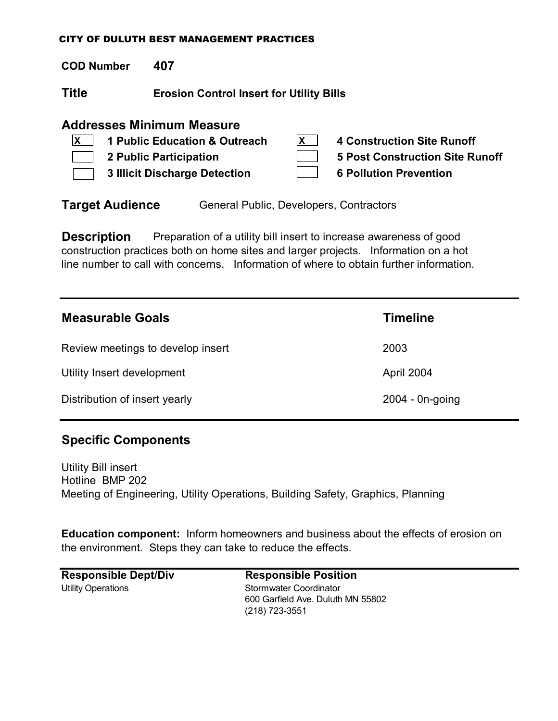**COD Number 407**

**Title Erosion Control Insert for Utility Bills**

## **Addresses Minimum Measure**

| x | 1 Public Education & Outreach        | 4 Construction Site Runoff             |
|---|--------------------------------------|----------------------------------------|
|   | 2 Public Participation               | <b>5 Post Construction Site Runoff</b> |
|   | <b>3 Illicit Discharge Detection</b> | <b>6 Pollution Prevention</b>          |

**Target Audience** General Public, Developers, Contractors

**Description** Preparation of a utility bill insert to increase awareness of good construction practices both on home sites and larger projects. Information on a hot line number to call with concerns. Information of where to obtain further information.

| <b>Measurable Goals</b>           | <b>Timeline</b>    |
|-----------------------------------|--------------------|
| Review meetings to develop insert | 2003               |
| Utility Insert development        | April 2004         |
| Distribution of insert yearly     | $2004 - 0n$ -going |

## **Specific Components**

Utility Bill insert Hotline BMP 202 Meeting of Engineering, Utility Operations, Building Safety, Graphics, Planning

**Education component:** Inform homeowners and business about the effects of erosion on the environment. Steps they can take to reduce the effects.

**Responsible Dept/Div Responsible Position** Utility Operations **Stormwater Coordinator**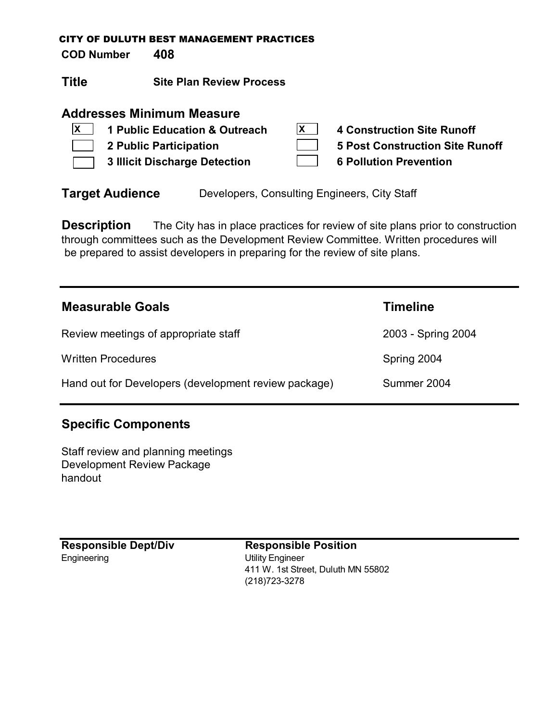**COD Number 408**

**Title Site Plan Review Process**

## **Addresses Minimum Measure**

|                | $ X $ 1 Public Education & Outreach  | X | 4 Construction Site Runoff      |
|----------------|--------------------------------------|---|---------------------------------|
| $\mathbb{R}^n$ | 2 Public Participation               |   | 5 Post Construction Site Runoff |
|                | <b>3 Illicit Discharge Detection</b> |   | <b>6 Pollution Prevention</b>   |

**Target Audience** Developers, Consulting Engineers, City Staff

**Description** The City has in place practices for review of site plans prior to construction through committees such as the Development Review Committee. Written procedures will be prepared to assist developers in preparing for the review of site plans.

| <b>Measurable Goals</b>                              | Timeline           |
|------------------------------------------------------|--------------------|
| Review meetings of appropriate staff                 | 2003 - Spring 2004 |
| <b>Written Procedures</b>                            | Spring 2004        |
| Hand out for Developers (development review package) | Summer 2004        |

## **Specific Components**

Staff review and planning meetings Development Review Package handout

Engineering Utility Engineer

**Responsible Dept/Div Responsible Position** 411 W. 1st Street, Duluth MN 55802 (218)723-3278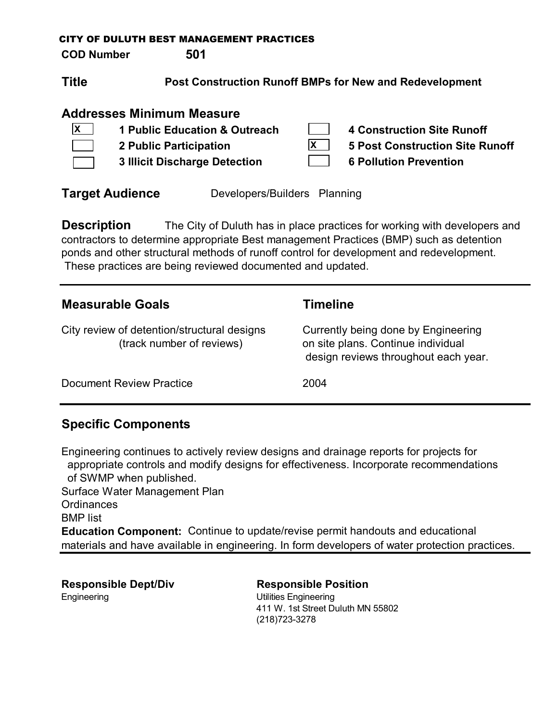**COD Number 501**

**Title Post Construction Runoff BMPs for New and Redevelopment**

## **Addresses Minimum Measure**

| $\mathbf{x}$ | 1 Public Education & Outreach        | <b>4 Construction Site Runoff</b>      |
|--------------|--------------------------------------|----------------------------------------|
|              | 2 Public Participation               | <b>5 Post Construction Site Runoff</b> |
|              | <b>3 Illicit Discharge Detection</b> | <b>6 Pollution Prevention</b>          |

**Target Audience** Developers/Builders Planning

**Description** The City of Duluth has in place practices for working with developers and contractors to determine appropriate Best management Practices (BMP) such as detention ponds and other structural methods of runoff control for development and redevelopment. These practices are being reviewed documented and updated.

| <b>Measurable Goals</b>                                                  | <b>Timeline</b>                                                                                                   |
|--------------------------------------------------------------------------|-------------------------------------------------------------------------------------------------------------------|
| City review of detention/structural designs<br>(track number of reviews) | Currently being done by Engineering<br>on site plans. Continue individual<br>design reviews throughout each year. |
| <b>Document Review Practice</b>                                          | 2004                                                                                                              |

## **Specific Components**

Engineering continues to actively review designs and drainage reports for projects for appropriate controls and modify designs for effectiveness. Incorporate recommendations of SWMP when published. Surface Water Management Plan **Ordinances** BMP list **Education Component:** Continue to update/revise permit handouts and educational materials and have available in engineering. In form developers of water protection practices.

**Responsible Dept/Div Responsible Position** Engineering Utilities Engineering

411 W. 1st Street Duluth MN 55802 (218)723-3278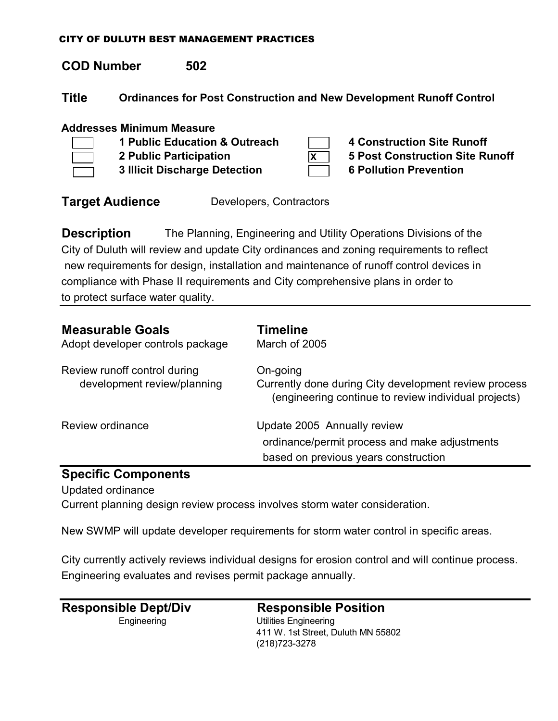## **COD Number 502**

**Title Ordinances for Post Construction and New Development Runoff Control**

### **Addresses Minimum Measure**



**1 Public Education & Outreach 4 Construction Site Runoff**

- - **3 Illicit Discharge Detection 6 Pollution Prevention**
- **X**

**2 Public Participation 5 Post Construction Site Runoff**

**Target Audience** Developers, Contractors

**Description** The Planning, Engineering and Utility Operations Divisions of the City of Duluth will review and update City ordinances and zoning requirements to reflect new requirements for design, installation and maintenance of runoff control devices in compliance with Phase II requirements and City comprehensive plans in order to to protect surface water quality.

| <b>Measurable Goals</b><br>Adopt developer controls package | <b>Timeline</b><br>March of 2005                                                                                          |
|-------------------------------------------------------------|---------------------------------------------------------------------------------------------------------------------------|
| Review runoff control during<br>development review/planning | On-going<br>Currently done during City development review process<br>(engineering continue to review individual projects) |
| Review ordinance                                            | Update 2005 Annually review<br>ordinance/permit process and make adjustments<br>based on previous years construction      |

## **Specific Components**

Updated ordinance

Current planning design review process involves storm water consideration.

New SWMP will update developer requirements for storm water control in specific areas.

City currently actively reviews individual designs for erosion control and will continue process. Engineering evaluates and revises permit package annually.

**Responsible Dept/Div Responsible Position** Engineering Utilities Engineering 411 W. 1st Street, Duluth MN 55802 (218)723-3278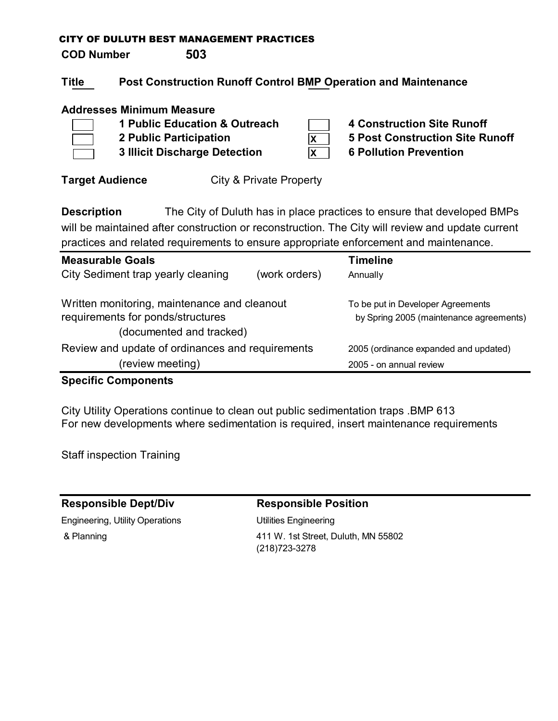**COD Number 503**

## **Title Post Construction Runoff Control BMP Operation and Maintenance**

### **Addresses Minimum Measure**

- 
- **3 Illicit Discharge Detection 6 Pollution Prevention**

**1 Public Education & Outreach 4 Construction Site Runoff 2 Public Participation 5 Post Construction Site Runoff**

**Target Audience City & Private Property** 

**Description** The City of Duluth has in place practices to ensure that developed BMPs will be maintained after construction or reconstruction. The City will review and update current practices and related requirements to ensure appropriate enforcement and maintenance.

**X X**

| <b>Measurable Goals</b>                                                           |               | <b>Timeline</b>                         |
|-----------------------------------------------------------------------------------|---------------|-----------------------------------------|
| City Sediment trap yearly cleaning                                                | (work orders) | Annually                                |
|                                                                                   |               |                                         |
|                                                                                   |               | To be put in Developer Agreements       |
|                                                                                   |               |                                         |
| (documented and tracked)                                                          |               |                                         |
| Review and update of ordinances and requirements                                  |               | 2005 (ordinance expanded and updated)   |
| (review meeting)                                                                  |               | 2005 - on annual review                 |
| Written monitoring, maintenance and cleanout<br>requirements for ponds/structures |               | by Spring 2005 (maintenance agreements) |

## **Specific Components**

City Utility Operations continue to clean out public sedimentation traps .BMP 613 For new developments where sedimentation is required, insert maintenance requirements

Staff inspection Training

## **Responsible Dept/Div Responsible Position**

Engineering, Utility Operations Utilities Engineering

 & Planning 411 W. 1st Street, Duluth, MN 55802 (218)723-3278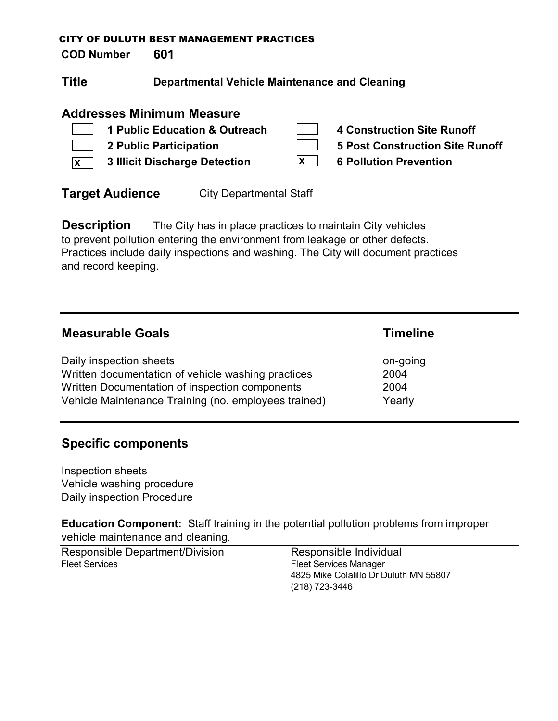**COD Number 601**

| <b>Title</b> | <b>Departmental Vehicle Maintenance and Cleaning</b> |
|--------------|------------------------------------------------------|
|--------------|------------------------------------------------------|

## **Addresses Minimum Measure**

| 1 Public Education & Outreach                |              | 4 Construction Site Runoff      |
|----------------------------------------------|--------------|---------------------------------|
| 2 Public Participation                       |              | 5 Post Construction Site Runoff |
| $\overline{X}$ 3 Illicit Discharge Detection | $\mathsf{X}$ | <b>6 Pollution Prevention</b>   |

**Target Audience** City Departmental Staff

**Description** The City has in place practices to maintain City vehicles to prevent pollution entering the environment from leakage or other defects. Practices include daily inspections and washing. The City will document practices and record keeping.

| <b>Measurable Goals</b>                              | <b>Timeline</b> |
|------------------------------------------------------|-----------------|
| Daily inspection sheets                              | on-going        |
| Written documentation of vehicle washing practices   | 2004            |
| Written Documentation of inspection components       | 2004            |
| Vehicle Maintenance Training (no. employees trained) | Yearly          |

## **Specific components**

Inspection sheets Vehicle washing procedure Daily inspection Procedure

**Education Component:** Staff training in the potential pollution problems from improper vehicle maintenance and cleaning.

Responsible Department/Division Responsible Individual Fleet Services Fleet Services Manager

4825 Mike Colalillo Dr Duluth MN 55807 (218) 723-3446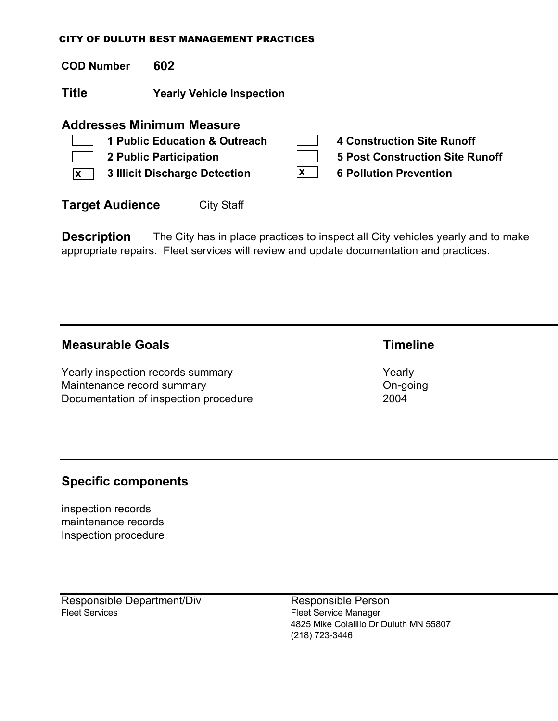**COD Number 602**

**Title Yearly Vehicle Inspection**

## **Addresses Minimum Measure**

|              | 1 Public Education & Outreach | <b>4 Construction Site Runoff</b>      |
|--------------|-------------------------------|----------------------------------------|
| $\mathbf{1}$ | 2 Public Participation        | <b>5 Post Construction Site Runoff</b> |
| $\mathsf{X}$ | 3 Illicit Discharge Detection | <b>6 Pollution Prevention</b>          |
|              |                               |                                        |

**Target Audience** City Staff

**Description** The City has in place practices to inspect all City vehicles yearly and to make appropriate repairs. Fleet services will review and update documentation and practices.

## **Measurable Goals Timeline**

Yearly inspection records summary Vearly Yearly Maintenance record summary and the control on-going on-going Documentation of inspection procedure 2004

## **Specific components**

inspection records maintenance records Inspection procedure

Responsible Department/Div<br>
Fleet Services<br>
Fleet Service Manager

Fleet Service Manager 4825 Mike Colalillo Dr Duluth MN 55807 (218) 723-3446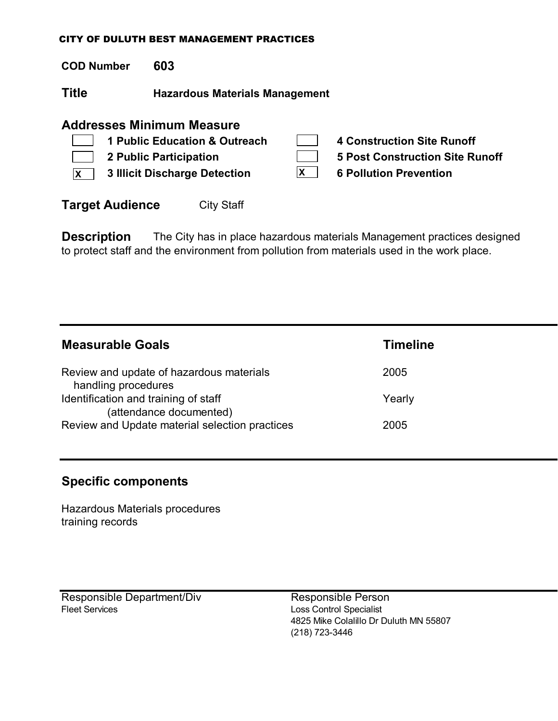**COD Number 603**

**Title Hazardous Materials Management**

## **Addresses Minimum Measure**

|              | 1 Public Education & Outreach |   | 4 Construction Site Runoff      |
|--------------|-------------------------------|---|---------------------------------|
|              | 2 Public Participation        |   | 5 Post Construction Site Runoff |
| $\mathsf{X}$ | 3 Illicit Discharge Detection | X | <b>6 Pollution Prevention</b>   |
|              |                               |   |                                 |

**Target Audience** City Staff

**Description** The City has in place hazardous materials Management practices designed to protect staff and the environment from pollution from materials used in the work place.

| <b>Measurable Goals</b>                                         | <b>Timeline</b> |
|-----------------------------------------------------------------|-----------------|
| Review and update of hazardous materials<br>handling procedures | 2005            |
| Identification and training of staff<br>(attendance documented) | Yearly          |
| Review and Update material selection practices                  | 2005            |

## **Specific components**

Hazardous Materials procedures training records

Responsible Department/Div Responsible Person Fleet Services **Loss Control Specialist** 

4825 Mike Colalillo Dr Duluth MN 55807 (218) 723-3446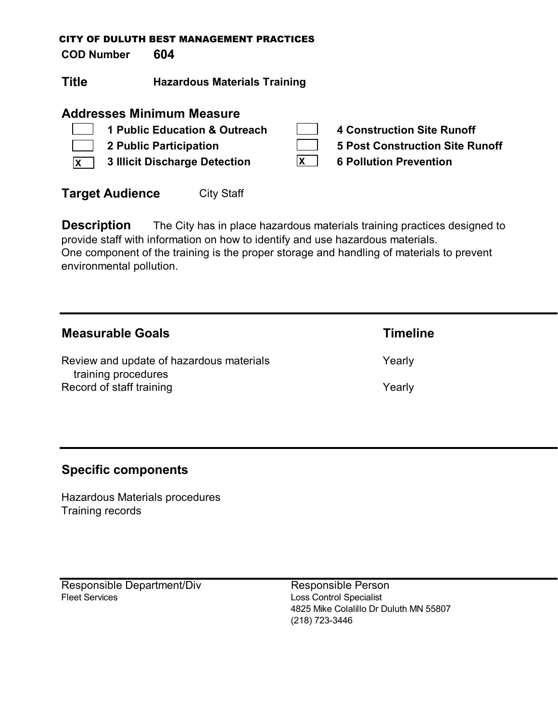**COD Number 604**

**Title Hazardous Materials Training**

## **Addresses Minimum Measure**

| 1 Public Education & Outreach                |   | 4 Construction Site Runoff      |
|----------------------------------------------|---|---------------------------------|
| 2 Public Participation                       |   | 5 Post Construction Site Runoff |
| $\overline{X}$ 3 Illicit Discharge Detection | X | <b>6 Pollution Prevention</b>   |

| <b>Target Audience</b> | <b>City Staff</b> |
|------------------------|-------------------|
|------------------------|-------------------|

**Description** The City has in place hazardous materials training practices designed to provide staff with information on how to identify and use hazardous materials. One component of the training is the proper storage and handling of materials to prevent environmental pollution.

| <b>Measurable Goals</b>                                         | <b>Timeline</b> |
|-----------------------------------------------------------------|-----------------|
| Review and update of hazardous materials<br>training procedures | Yearly          |
| Record of staff training                                        | Yearly          |

## **Specific components**

Hazardous Materials procedures Training records

Responsible Department/Div Responsible Person Fleet Services **Loss Control Specialist** 

4825 Mike Colalillo Dr Duluth MN 55807 (218) 723-3446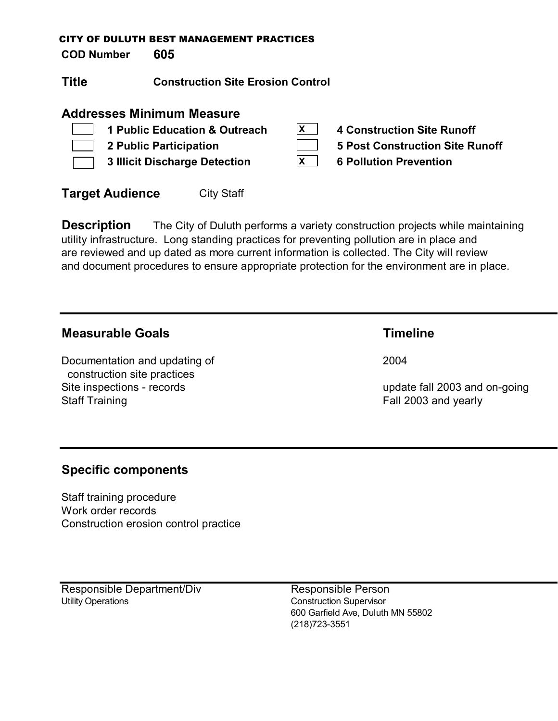**COD Number 605**

**Title Construction Site Erosion Control**

## **Addresses Minimum Measure**

**1 Public Education & Outreach 4 Construction Site Runoff 2 Public Participation 5 Post Construction Site Runoff 3 Illicit Discharge Detection 6 Pollution Prevention X X**

| <b>Target Audience</b><br><b>City Staff</b> |
|---------------------------------------------|
|---------------------------------------------|

**Description** The City of Duluth performs a variety construction projects while maintaining utility infrastructure. Long standing practices for preventing pollution are in place and are reviewed and up dated as more current information is collected. The City will review and document procedures to ensure appropriate protection for the environment are in place.

## **Measurable Goals Timeline**

Documentation and updating of 2004 construction site practices Site inspections - records update fall 2003 and on-going Staff Training **Fall 2003** and yearly

## **Specific components**

Staff training procedure Work order records Construction erosion control practice

Responsible Department/Div Responsible Person Utility Operations **Construction Supervisor**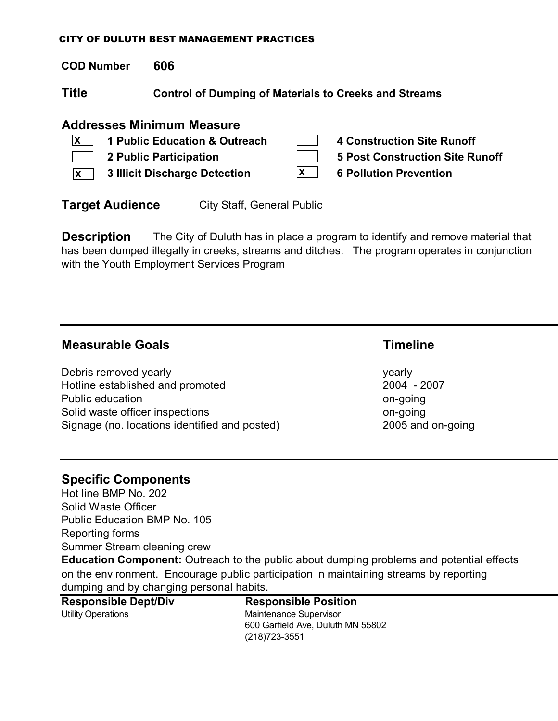**COD Number 606**

**Title Control of Dumping of Materials to Creeks and Streams**

## **Addresses Minimum Measure**

| $\mathbf{X}$   1 Public Education & Outreach | 4 Construction Site Runoff      |
|----------------------------------------------|---------------------------------|
| 2 Public Participation                       | 5 Post Construction Site Runoff |
| $\overline{X}$ 3 Illicit Discharge Detection | <b>6 Pollution Prevention</b>   |

**Target Audience** City Staff, General Public

**Description** The City of Duluth has in place a program to identify and remove material that has been dumped illegally in creeks, streams and ditches. The program operates in conjunction with the Youth Employment Services Program

## **Measurable Goals Timeline**

Debris removed yearly yearly yearly yearly yearly Hotline established and promoted 2004 - 2007 Public education on-going Solid waste officer inspections on-going solid waste of the set of the set of the set on-going Signage (no. locations identified and posted) 2005 and on-going

## **Specific Components**

Hot line BMP No. 202 Solid Waste Officer Public Education BMP No. 105 Reporting forms Summer Stream cleaning crew

**Education Component:** Outreach to the public about dumping problems and potential effects on the environment. Encourage public participation in maintaining streams by reporting dumping and by changing personal habits.

**Responsible Dept/Div Responsible Position**

Utility Operations **Maintenance Supervisor** 600 Garfield Ave, Duluth MN 55802 (218)723-3551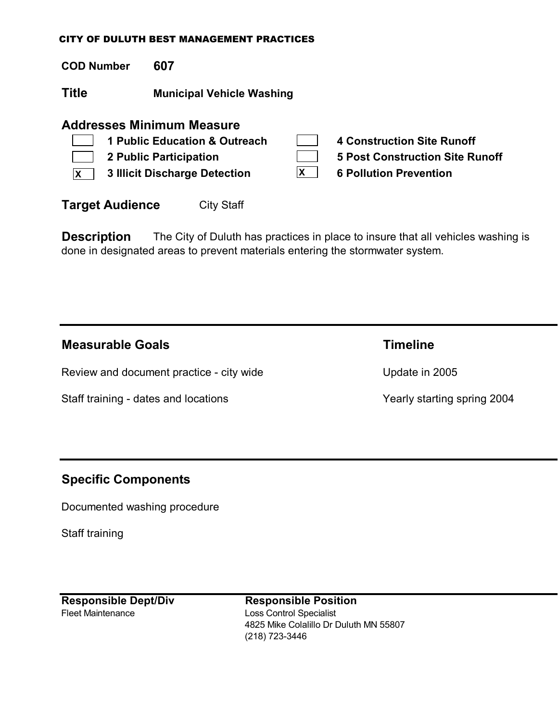**COD Number 607**

**Title Municipal Vehicle Washing**

## **Addresses Minimum Measure**

|              | 1 Public Education & Outreach        | <b>4 Construction Site Runoff</b> |
|--------------|--------------------------------------|-----------------------------------|
|              | <b>2 Public Participation</b>        | 5 Post Construction Site Runoff   |
| $\mathsf{X}$ | <b>3 Illicit Discharge Detection</b> | <b>6 Pollution Prevention</b>     |
|              |                                      |                                   |

**Target Audience** City Staff

**Description** The City of Duluth has practices in place to insure that all vehicles washing is done in designated areas to prevent materials entering the stormwater system.

| <b>Measurable Goals</b>                  | Timeline                    |
|------------------------------------------|-----------------------------|
| Review and document practice - city wide | Update in 2005              |
| Staff training - dates and locations     | Yearly starting spring 2004 |

## **Specific Components**

Documented washing procedure

Staff training

Fleet Maintenance Loss Control Specialist

**Responsible Dept/Div Responsible Position** 4825 Mike Colalillo Dr Duluth MN 55807 (218) 723-3446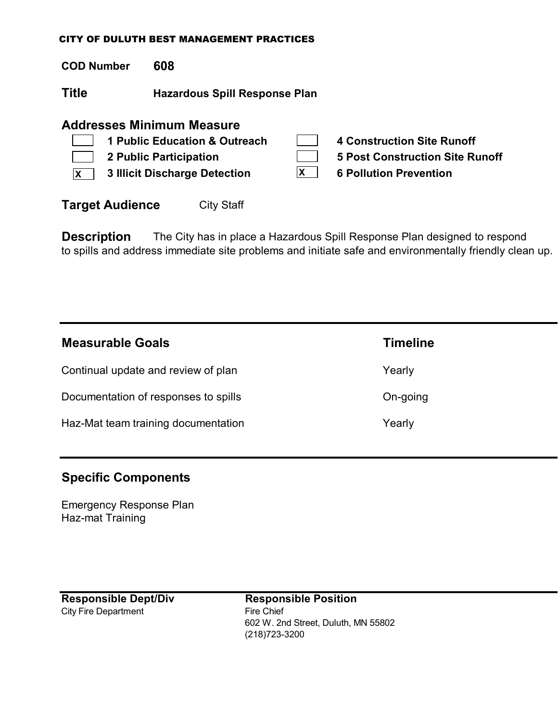**COD Number 608**

**Title Hazardous Spill Response Plan**

## **Addresses Minimum Measure**

|                | 1 Public Education & Outreach | 4 Construction Site Runoff      |
|----------------|-------------------------------|---------------------------------|
| $\mathbb{R}^n$ | 2 Public Participation        | 5 Post Construction Site Runoff |
|                | 3 Illicit Discharge Detection | <b>6 Pollution Prevention</b>   |
|                |                               |                                 |

**Target Audience** City Staff

**Description** The City has in place a Hazardous Spill Response Plan designed to respond to spills and address immediate site problems and initiate safe and environmentally friendly clean up.

| <b>Measurable Goals</b>              | <b>Timeline</b> |
|--------------------------------------|-----------------|
| Continual update and review of plan  | Yearly          |
| Documentation of responses to spills | On-going        |
| Haz-Mat team training documentation  | Yearly          |

## **Specific Components**

Emergency Response Plan Haz-mat Training

City Fire Department Fire Chief

**Responsible Dept/Div Responsible Position** 602 W. 2nd Street, Duluth, MN 55802 (218)723-3200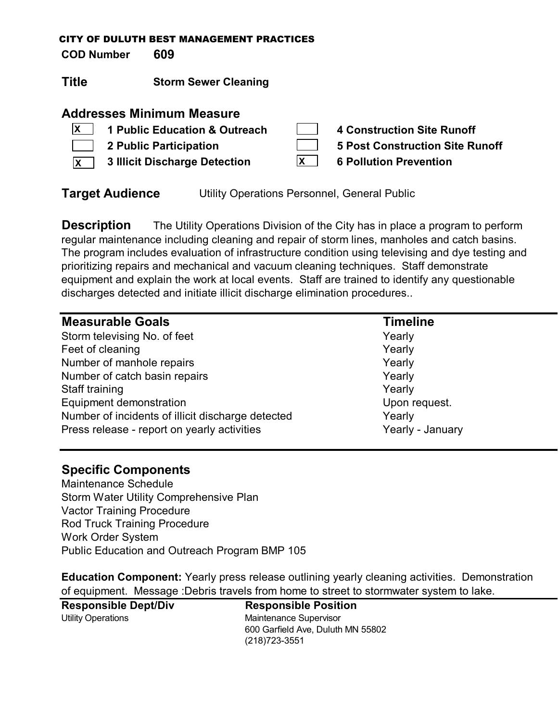**COD Number 609**

**Title Storm Sewer Cleaning**

## **Addresses Minimum Measure**

| $ X $ 1 Public Education & Outreach          | 4 Construction Site Runoff      |
|----------------------------------------------|---------------------------------|
| 2 Public Participation                       | 5 Post Construction Site Runoff |
| $\overline{X}$ 3 Illicit Discharge Detection | <b>6 Pollution Prevention</b>   |

**Target Audience** Utility Operations Personnel, General Public

**Description** The Utility Operations Division of the City has in place a program to perform regular maintenance including cleaning and repair of storm lines, manholes and catch basins. The program includes evaluation of infrastructure condition using televising and dye testing and prioritizing repairs and mechanical and vacuum cleaning techniques. Staff demonstrate equipment and explain the work at local events. Staff are trained to identify any questionable discharges detected and initiate illicit discharge elimination procedures..

| <b>Measurable Goals</b>                           | <b>Timeline</b>  |
|---------------------------------------------------|------------------|
| Storm televising No. of feet                      | Yearly           |
| Feet of cleaning                                  | Yearly           |
| Number of manhole repairs                         | Yearly           |
| Number of catch basin repairs                     | Yearly           |
| Staff training                                    | Yearly           |
| Equipment demonstration                           | Upon request.    |
| Number of incidents of illicit discharge detected | Yearly           |
| Press release - report on yearly activities       | Yearly - January |

## **Specific Components**

Maintenance Schedule Storm Water Utility Comprehensive Plan Vactor Training Procedure Rod Truck Training Procedure Work Order System Public Education and Outreach Program BMP 105

**Education Component:** Yearly press release outlining yearly cleaning activities. Demonstration of equipment. Message :Debris travels from home to street to stormwater system to lake.

**Responsible Dept/Div Responsible Position** Utility Operations **Maintenance Supervisor**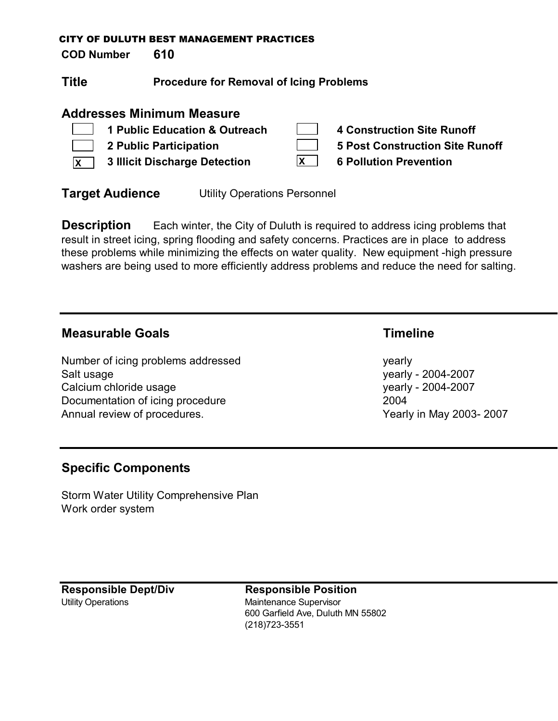**COD Number 610**

| Title | <b>Procedure for Removal of Icing Problems</b> |
|-------|------------------------------------------------|
|-------|------------------------------------------------|

## **Addresses Minimum Measure**

|              | 1 Public Education & Outreach        |             | <b>4 Construction Site Runoff</b>      |
|--------------|--------------------------------------|-------------|----------------------------------------|
|              | <b>2 Public Participation</b>        |             | <b>5 Post Construction Site Runoff</b> |
| $\mathsf{X}$ | <b>3 Illicit Discharge Detection</b> | $ {\bf x} $ | <b>6 Pollution Prevention</b>          |

**Target Audience** Utility Operations Personnel

**Description** Each winter, the City of Duluth is required to address icing problems that result in street icing, spring flooding and safety concerns. Practices are in place to address these problems while minimizing the effects on water quality. New equipment -high pressure washers are being used to more efficiently address problems and reduce the need for salting.

## **Measurable Goals Timeline**

Number of icing problems addressed vearly yearly Salt usage yearly - 2004-2007 Calcium chloride usage yearly - 2004-2007 Documentation of icing procedure 2004 Annual review of procedures. Annual review of procedures.

## **Specific Components**

Storm Water Utility Comprehensive Plan Work order system

**Responsible Dept/Div Responsible Position** Utility Operations **Maintenance Supervisor**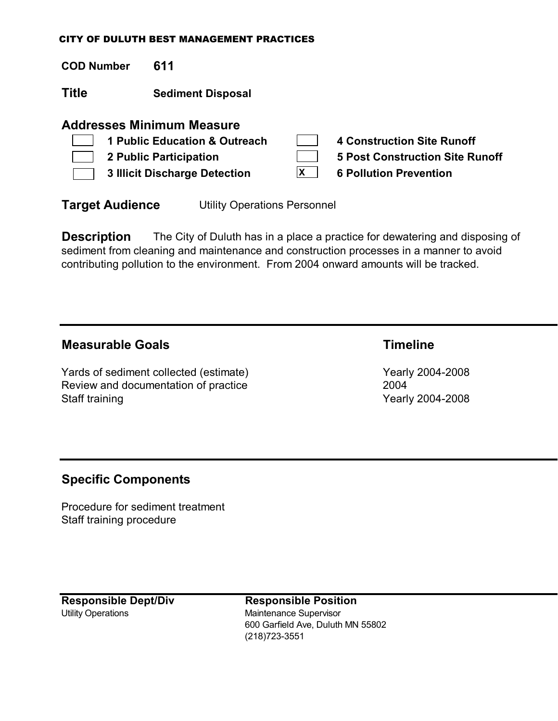| <b>COD Number</b> | 611                                                                                                                                        |          |                                                                                                              |
|-------------------|--------------------------------------------------------------------------------------------------------------------------------------------|----------|--------------------------------------------------------------------------------------------------------------|
| Title             | <b>Sediment Disposal</b>                                                                                                                   |          |                                                                                                              |
|                   | <b>Addresses Minimum Measure</b><br>1 Public Education & Outreach<br><b>2 Public Participation</b><br><b>3 Illicit Discharge Detection</b> | <b>X</b> | <b>4 Construction Site Runoff</b><br><b>5 Post Construction Site Runoff</b><br><b>6 Pollution Prevention</b> |

**Target Audience** Utility Operations Personnel

**Description** The City of Duluth has in a place a practice for dewatering and disposing of sediment from cleaning and maintenance and construction processes in a manner to avoid contributing pollution to the environment. From 2004 onward amounts will be tracked.

## **Measurable Goals Timeline**

Yards of sediment collected (estimate) Wearly 2004-2008 Review and documentation of practice 2004 Staff training **Yearly 2004-2008** 

## **Specific Components**

Procedure for sediment treatment Staff training procedure

**Responsible Dept/Div Responsible Position** Utility Operations **Maintenance Supervisor**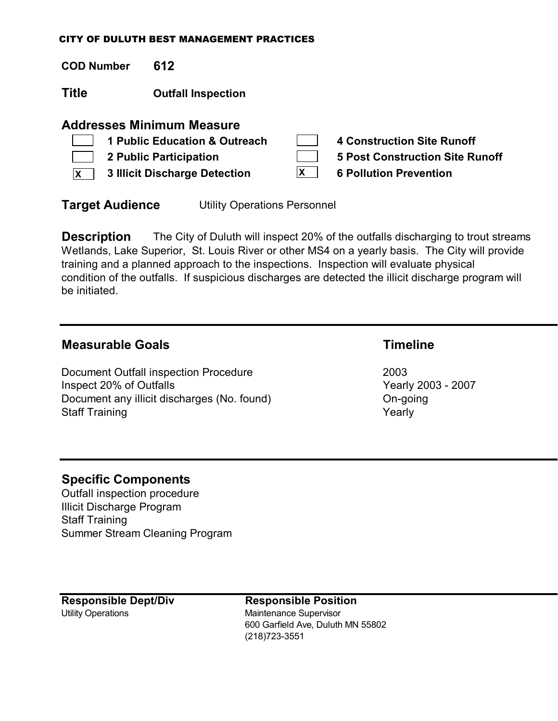**COD Number 612 Title Outfall Inspection Addresses Minimum Measure 1 Public Education & Outreach 4 Construction Site Runoff 2 Public Participation 5 Post Construction Site Runoff 3 Illicit Discharge Detection 6 Pollution Prevention X X**

**Target Audience** Utility Operations Personnel

**Description** The City of Duluth will inspect 20% of the outfalls discharging to trout streams Wetlands, Lake Superior, St. Louis River or other MS4 on a yearly basis. The City will provide training and a planned approach to the inspections. Inspection will evaluate physical condition of the outfalls. If suspicious discharges are detected the illicit discharge program will be initiated.

## **Measurable Goals Timeline**

Document Outfall inspection Procedure 2003 Inspect 20% of Outfalls **Inspect 20% of Outfalls** Document any illicit discharges (No. found) CON-going Staff Training Yearly

## **Specific Components**

Outfall inspection procedure Illicit Discharge Program Staff Training Summer Stream Cleaning Program

**Responsible Dept/Div Responsible Position** Utility Operations **Maintenance Supervisor**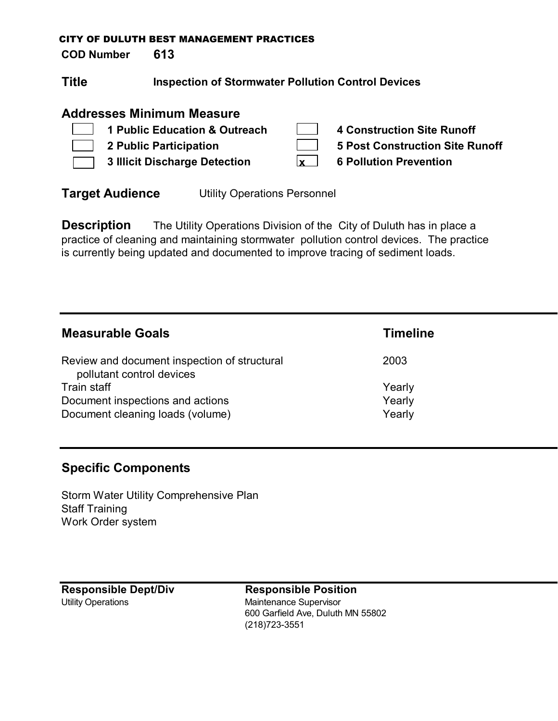**COD Number 613**

| <b>Inspection of Stormwater Pollution Control Devices</b> |
|-----------------------------------------------------------|
|                                                           |

## **Addresses Minimum Measure**

| 1 Public Education & Outreach        | <b>4 Construction Site Runoff</b>      |
|--------------------------------------|----------------------------------------|
| <b>2 Public Participation</b>        | <b>5 Post Construction Site Runoff</b> |
| <b>3 Illicit Discharge Detection</b> | <b>6 Pollution Prevention</b>          |

**Target Audience** Utility Operations Personnel

**Description** The Utility Operations Division of the City of Duluth has in place a practice of cleaning and maintaining stormwater pollution control devices. The practice is currently being updated and documented to improve tracing of sediment loads.

| <b>Measurable Goals</b>                                                   | <b>Timeline</b> |
|---------------------------------------------------------------------------|-----------------|
| Review and document inspection of structural<br>pollutant control devices | 2003            |
| Train staff                                                               | Yearly          |
| Document inspections and actions                                          | Yearly          |
| Document cleaning loads (volume)                                          | Yearly          |

## **Specific Components**

Storm Water Utility Comprehensive Plan Staff Training Work Order system

**Responsible Dept/Div Responsible Position** Utility Operations **Maintenance Supervisor**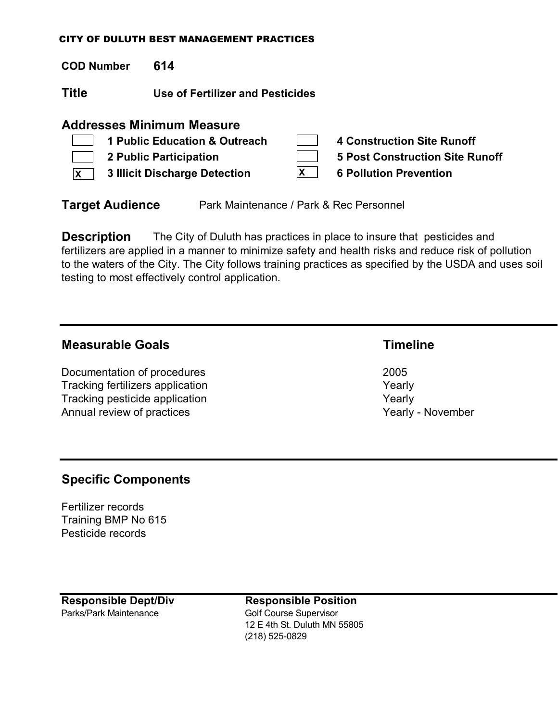**COD Number 614**

**Title Use of Fertilizer and Pesticides**

## **Addresses Minimum Measure**

|              | 1 Public Education & Outreach        | 4 Construction Site Runoff      |
|--------------|--------------------------------------|---------------------------------|
|              | 2 Public Participation               | 5 Post Construction Site Runoff |
| $\mathsf{x}$ | <b>3 Illicit Discharge Detection</b> | <b>6 Pollution Prevention</b>   |

**Target Audience** Park Maintenance / Park & Rec Personnel

**Description** The City of Duluth has practices in place to insure that pesticides and fertilizers are applied in a manner to minimize safety and health risks and reduce risk of pollution to the waters of the City. The City follows training practices as specified by the USDA and uses soil testing to most effectively control application.

## **Measurable Goals Timeline**

Documentation of procedures 2005 Tracking fertilizers application Tracking fertilizers application Tracking pesticide application Tracking Pesticide application Annual review of practices Annual review of practices

## **Specific Components**

Fertilizer records Training BMP No 615 Pesticide records

**Responsible Dept/Div Responsible Position** Parks/Park Maintenance Golf Course Supervisor

12 E 4th St. Duluth MN 55805 (218) 525-0829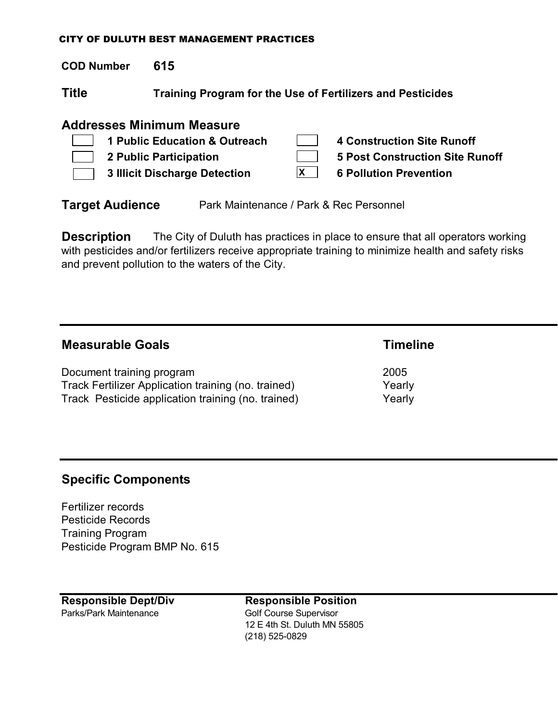**COD Number 615**

**Title Training Program for the Use of Fertilizers and Pesticides**

## **Addresses Minimum Measure**

| 1 Public Education & Outreach | 4 Construction Site Runoff             |
|-------------------------------|----------------------------------------|
| <b>2 Public Participation</b> | <b>5 Post Construction Site Runoff</b> |
| 3 Illicit Discharge Detection | <b>6 Pollution Prevention</b>          |

**Target Audience** Park Maintenance / Park & Rec Personnel

**Description** The City of Duluth has practices in place to ensure that all operators working with pesticides and/or fertilizers receive appropriate training to minimize health and safety risks and prevent pollution to the waters of the City.

| <b>Measurable Goals</b>                             | <b>Timeline</b> |
|-----------------------------------------------------|-----------------|
| Document training program                           | 2005            |
| Track Fertilizer Application training (no. trained) | Yearly          |
| Track Pesticide application training (no. trained)  | Yearly          |

## **Specific Components**

Fertilizer records Pesticide Records Training Program Pesticide Program BMP No. 615

**Responsible Dept/Div Responsible Position** Parks/Park Maintenance Golf Course Supervisor

12 E 4th St. Duluth MN 55805 (218) 525-0829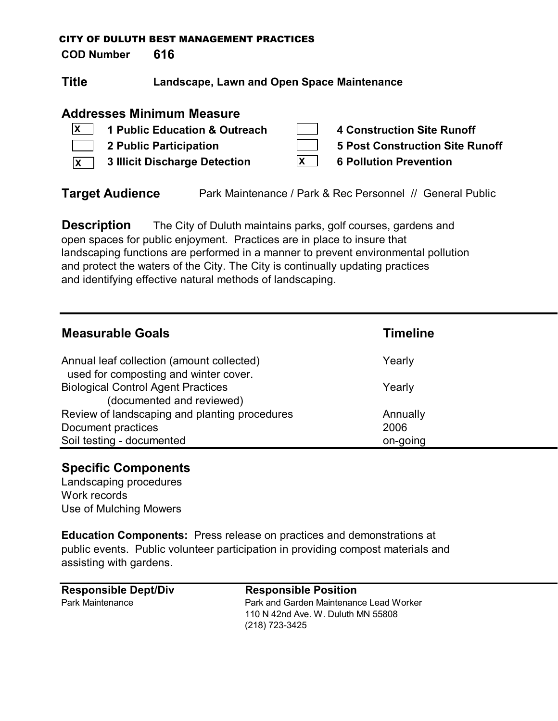**COD Number 616**

**Title Landscape, Lawn and Open Space Maintenance**

## **Addresses Minimum Measure**

|              | $\mathbf{X}$ 1 Public Education & Outreach |              | 4 Construction Site Runoff      |
|--------------|--------------------------------------------|--------------|---------------------------------|
|              | 2 Public Participation                     |              | 5 Post Construction Site Runoff |
| $\mathsf{X}$ | 3 Illicit Discharge Detection              | $\mathsf{X}$ | <b>6 Pollution Prevention</b>   |

**Target Audience** Park Maintenance / Park & Rec Personnel // General Public

**Description** The City of Duluth maintains parks, golf courses, gardens and open spaces for public enjoyment. Practices are in place to insure that landscaping functions are performed in a manner to prevent environmental pollution and protect the waters of the City. The City is continually updating practices and identifying effective natural methods of landscaping.

| <b>Measurable Goals</b>                                                            | <b>Timeline</b> |
|------------------------------------------------------------------------------------|-----------------|
| Annual leaf collection (amount collected)<br>used for composting and winter cover. | Yearly          |
| <b>Biological Control Agent Practices</b><br>(documented and reviewed)             | Yearly          |
| Review of landscaping and planting procedures                                      | Annually        |
| Document practices                                                                 | 2006            |
| Soil testing - documented                                                          | on-going        |

## **Specific Components**

Landscaping procedures Work records Use of Mulching Mowers

**Education Components:** Press release on practices and demonstrations at public events. Public volunteer participation in providing compost materials and assisting with gardens.

| <b>Responsible Dept/Div</b> | <b>Responsible Position</b>             |
|-----------------------------|-----------------------------------------|
| <b>Park Maintenance</b>     | Park and Garden Maintenance Lead Worker |
|                             | 110 N 42nd Ave. W. Duluth MN 55808      |
|                             | (218) 723-3425                          |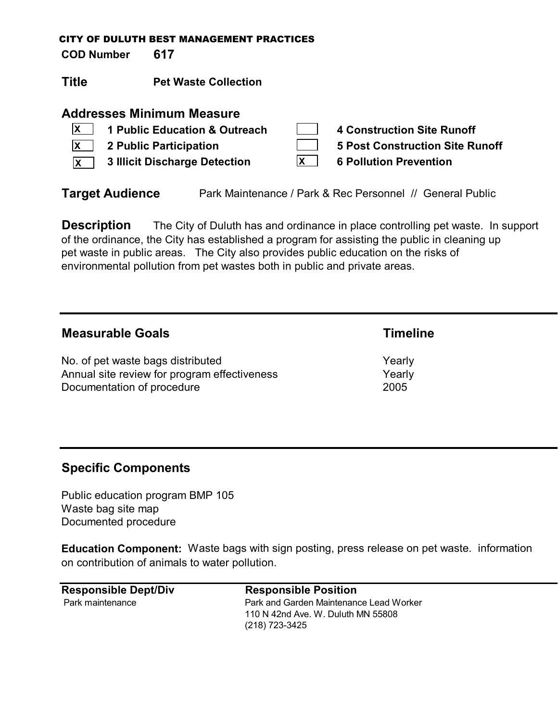**COD Number 617**

**Title Pet Waste Collection**

## **Addresses Minimum Measure**

| $ X $ 1 Public Education & Outreach          |              | 4 Construction Site Runoff      |
|----------------------------------------------|--------------|---------------------------------|
| $\vert x \vert$ 2 Public Participation       |              | 5 Post Construction Site Runoff |
| $\overline{X}$ 3 Illicit Discharge Detection | $\mathsf{X}$ | <b>6 Pollution Prevention</b>   |

**Target Audience** Park Maintenance / Park & Rec Personnel // General Public

**Description** The City of Duluth has and ordinance in place controlling pet waste. In support of the ordinance, the City has established a program for assisting the public in cleaning up pet waste in public areas. The City also provides public education on the risks of environmental pollution from pet wastes both in public and private areas.

## **Measurable Goals Timeline** No. of pet waste bags distributed Yearly Annual site review for program effectiveness The Mearly Documentation of procedure 2005

## **Specific Components**

Public education program BMP 105 Waste bag site map Documented procedure

**Education Component:** Waste bags with sign posting, press release on pet waste. information on contribution of animals to water pollution.

| <b>Responsible Dept/Div</b> | <b>Responsible Position</b>             |
|-----------------------------|-----------------------------------------|
| Park maintenance            | Park and Garden Maintenance Lead Worker |
|                             | 110 N 42nd Ave. W. Duluth MN 55808      |
|                             | (218) 723-3425                          |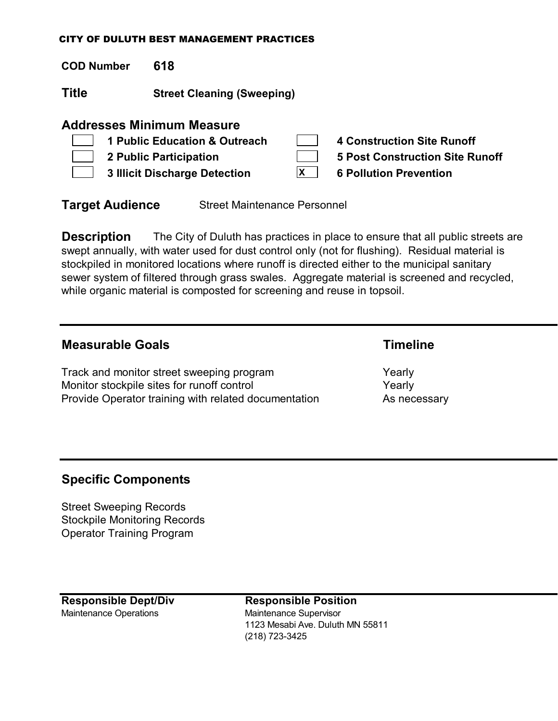**COD Number 618**

**Title Street Cleaning (Sweeping)**

## **Addresses Minimum Measure**

|                | 1 Public Education & Outreach | 4 Construction Site Runoff             |
|----------------|-------------------------------|----------------------------------------|
|                | 2 Public Participation        | <b>5 Post Construction Site Runoff</b> |
| $\mathbb{R}^n$ | 3 Illicit Discharge Detection | <b>6 Pollution Prevention</b>          |

**Target Audience** Street Maintenance Personnel

**Description** The City of Duluth has practices in place to ensure that all public streets are swept annually, with water used for dust control only (not for flushing). Residual material is stockpiled in monitored locations where runoff is directed either to the municipal sanitary sewer system of filtered through grass swales. Aggregate material is screened and recycled, while organic material is composted for screening and reuse in topsoil.

## **Measurable Goals Timeline**

Track and monitor street sweeping program Track and Yearly Monitor stockpile sites for runoff control metal of the Yearly Provide Operator training with related documentation As necessary

## **Specific Components**

Street Sweeping Records Stockpile Monitoring Records Operator Training Program

**Responsible Dept/Div Responsible Position** Maintenance Operations Maintenance Supervisor

1123 Mesabi Ave. Duluth MN 55811 (218) 723-3425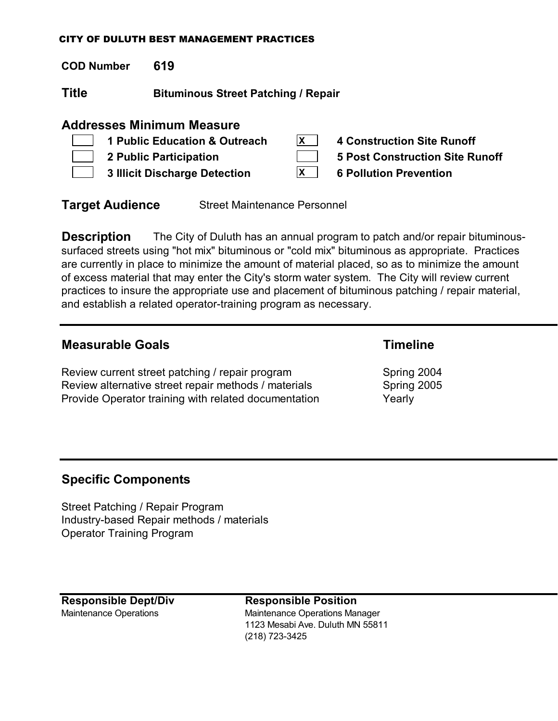**COD Number 619**

**Title Bituminous Street Patching / Repair**

## **Addresses Minimum Measure**

| 1 Public Education & Outreach |   | 4 Construction Site Runoff      |
|-------------------------------|---|---------------------------------|
| 2 Public Participation        |   | 5 Post Construction Site Runoff |
| 3 Illicit Discharge Detection | X | <b>6 Pollution Prevention</b>   |

**Target Audience** Street Maintenance Personnel

**Description** The City of Duluth has an annual program to patch and/or repair bituminoussurfaced streets using "hot mix" bituminous or "cold mix" bituminous as appropriate. Practices are currently in place to minimize the amount of material placed, so as to minimize the amount of excess material that may enter the City's storm water system. The City will review current practices to insure the appropriate use and placement of bituminous patching / repair material, and establish a related operator-training program as necessary.

## **Measurable Goals Timeline**

Review current street patching / repair program Spring 2004 Review alternative street repair methods / materials Spring 2005 Provide Operator training with related documentation Theory Yearly

## **Specific Components**

Street Patching / Repair Program Industry-based Repair methods / materials Operator Training Program

**Responsible Dept/Div Responsible Position**

Maintenance Operations Maintenance Operations Manager 1123 Mesabi Ave. Duluth MN 55811 (218) 723-3425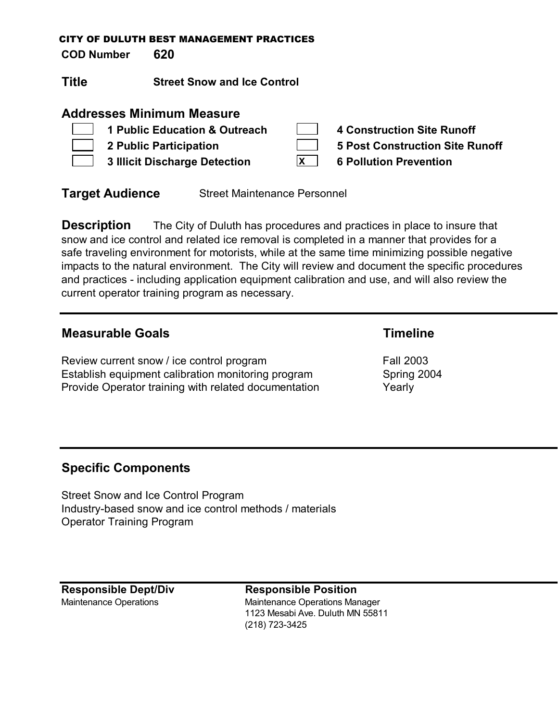**COD Number 620**

**Title Street Snow and Ice Control**

## **Addresses Minimum Measure**

| 1 Public Education & Outreach |   | <b>4 Construction Site Runoff</b>      |
|-------------------------------|---|----------------------------------------|
| 2 Public Participation        |   | <b>5 Post Construction Site Runoff</b> |
| 3 Illicit Discharge Detection | X | <b>6 Pollution Prevention</b>          |

**Target Audience** Street Maintenance Personnel

**Description** The City of Duluth has procedures and practices in place to insure that snow and ice control and related ice removal is completed in a manner that provides for a safe traveling environment for motorists, while at the same time minimizing possible negative impacts to the natural environment. The City will review and document the specific procedures and practices - including application equipment calibration and use, and will also review the current operator training program as necessary.

## **Measurable Goals Timeline**

Review current snow / ice control program Fall 2003 Establish equipment calibration monitoring program Spring 2004 Provide Operator training with related documentation Theory

## **Specific Components**

Street Snow and Ice Control Program Industry-based snow and ice control methods / materials Operator Training Program

**Responsible Dept/Div Responsible Position**

Maintenance Operations **Maintenance Operations Manager** 1123 Mesabi Ave. Duluth MN 55811 (218) 723-3425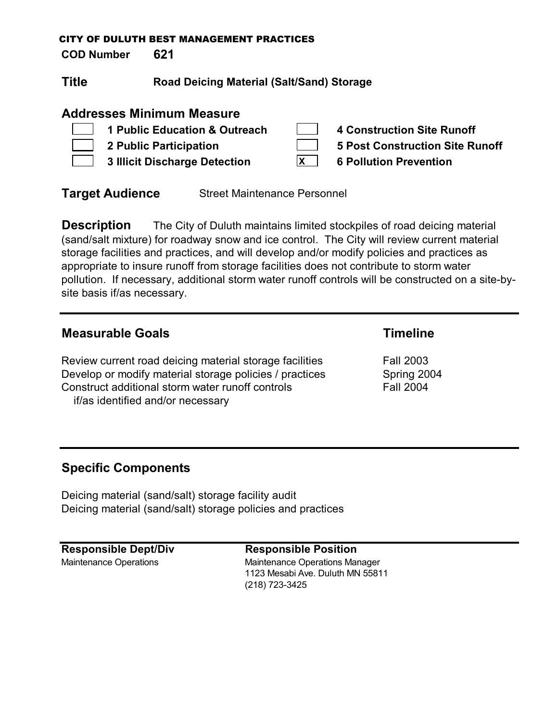**COD Number 621**

**Title Road Deicing Material (Salt/Sand) Storage**

## **Addresses Minimum Measure**

| 1 Public Education & Outreach        |   | 4 Construction Site Runoff      |
|--------------------------------------|---|---------------------------------|
| 2 Public Participation               |   | 5 Post Construction Site Runoff |
| <b>3 Illicit Discharge Detection</b> | X | <b>6 Pollution Prevention</b>   |

**Target Audience** Street Maintenance Personnel

**Description** The City of Duluth maintains limited stockpiles of road deicing material (sand/salt mixture) for roadway snow and ice control. The City will review current material storage facilities and practices, and will develop and/or modify policies and practices as appropriate to insure runoff from storage facilities does not contribute to storm water pollution. If necessary, additional storm water runoff controls will be constructed on a site-bysite basis if/as necessary.

## **Measurable Goals Timeline**

Review current road deicing material storage facilities Fall 2003 Develop or modify material storage policies / practices Spring 2004 Construct additional storm water runoff controls Fall 2004 if/as identified and/or necessary

## **Specific Components**

Deicing material (sand/salt) storage facility audit Deicing material (sand/salt) storage policies and practices

**Responsible Dept/Div Responsible Position**

Maintenance Operations Maintenance Operations Manager 1123 Mesabi Ave. Duluth MN 55811 (218) 723-3425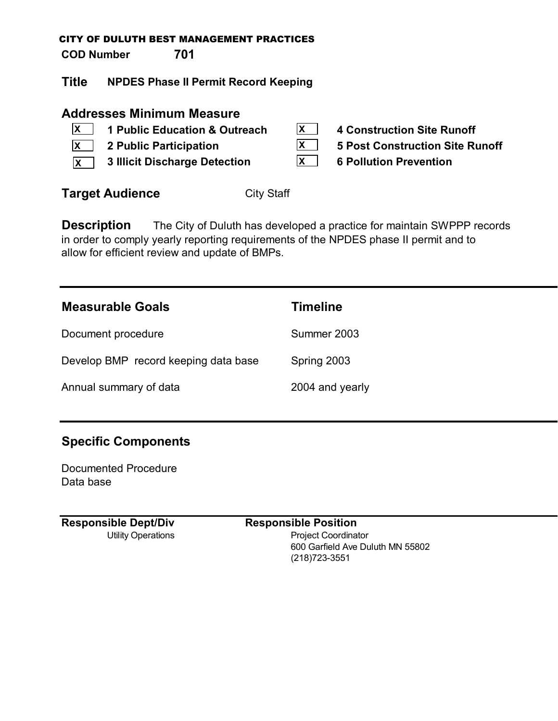**COD Number 701**

**Title NPDES Phase II Permit Record Keeping**

## **Addresses Minimum Measure**

- **1 Public Education & Outreach 4 Construction Site Runoff X**
- **2 Public Participation 5 Post Construction Site Runoff X**
- **3 Illicit Discharge Detection 6 Pollution Prevention X**
- **X X X**
	-

**Target Audience** City Staff

**Description** The City of Duluth has developed a practice for maintain SWPPP records in order to comply yearly reporting requirements of the NPDES phase II permit and to allow for efficient review and update of BMPs.

| <b>Measurable Goals</b>              | <b>Timeline</b> |
|--------------------------------------|-----------------|
| Document procedure                   | Summer 2003     |
| Develop BMP record keeping data base | Spring 2003     |
| Annual summary of data               | 2004 and yearly |

# **Specific Components**

Documented Procedure Data base

**Responsible Dept/Div Responsible Position**

Utility Operations **Project Coordinator** 600 Garfield Ave Duluth MN 55802 (218)723-3551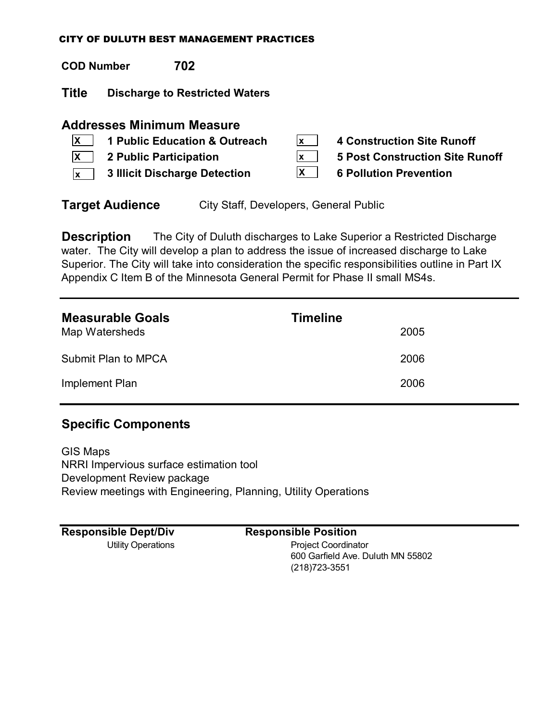| <b>COD Number</b>         | 702                                                                                                                                 |                      |                                                                                                              |
|---------------------------|-------------------------------------------------------------------------------------------------------------------------------------|----------------------|--------------------------------------------------------------------------------------------------------------|
| <b>Title</b>              | <b>Discharge to Restricted Waters</b>                                                                                               |                      |                                                                                                              |
| <b>X</b><br><b>X</b><br>X | <b>Addresses Minimum Measure</b><br>1 Public Education & Outreach<br>2 Public Participation<br><b>3 Illicit Discharge Detection</b> | lx l<br>lx l<br>IX I | <b>4 Construction Site Runoff</b><br><b>5 Post Construction Site Runoff</b><br><b>6 Pollution Prevention</b> |

**Target Audience** City Staff, Developers, General Public

**Description** The City of Duluth discharges to Lake Superior a Restricted Discharge water. The City will develop a plan to address the issue of increased discharge to Lake Superior. The City will take into consideration the specific responsibilities outline in Part IX Appendix C Item B of the Minnesota General Permit for Phase II small MS4s.

| <b>Measurable Goals</b><br>Map Watersheds | <b>Timeline</b><br>2005 |
|-------------------------------------------|-------------------------|
| Submit Plan to MPCA                       | 2006                    |
| Implement Plan                            | 2006                    |

## **Specific Components**

GIS Maps NRRI Impervious surface estimation tool Development Review package Review meetings with Engineering, Planning, Utility Operations

| <b>Responsible Dept/Div</b> | <b>Responsible Position</b>       |
|-----------------------------|-----------------------------------|
| Utility Operations          | <b>Project Coordinator</b>        |
|                             | 600 Garfield Ave. Duluth MN 55802 |
|                             | (218) 723-3551                    |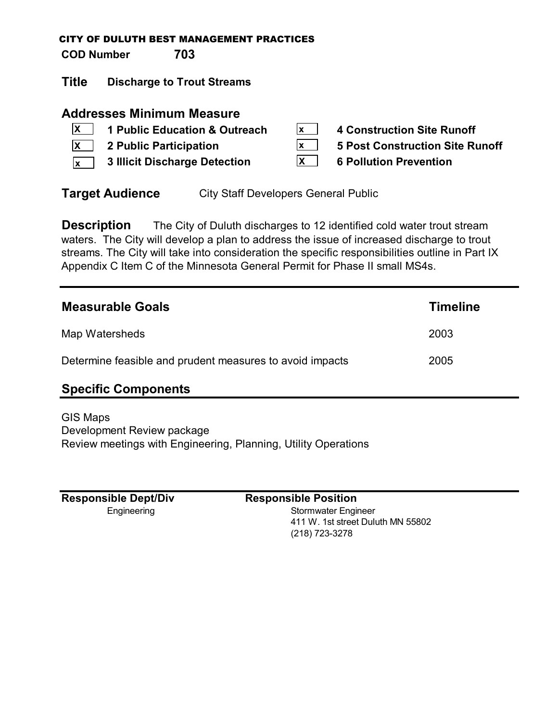**COD Number 703**

**Title Discharge to Trout Streams**

## **Addresses Minimum Measure**

- **X**
- **X**
- **3 Illicit Discharge Detection 6 Pollution Prevention x**
- **1 Public Education & Outreach 4 Construction Site Runoff**
- **2 Public Participation 5 Post Construction Site Runoff**
	-

**Target Audience** City Staff Developers General Public

**Description** The City of Duluth discharges to 12 identified cold water trout stream waters. The City will develop a plan to address the issue of increased discharge to trout streams. The City will take into consideration the specific responsibilities outline in Part IX Appendix C Item C of the Minnesota General Permit for Phase II small MS4s.

**x x X**

| <b>Measurable Goals</b>                                  | <b>Timeline</b> |
|----------------------------------------------------------|-----------------|
| Map Watersheds                                           | 2003            |
| Determine feasible and prudent measures to avoid impacts | 2005            |
| Snacific Comnonante                                      |                 |

## **Specific Components**

GIS Maps Development Review package Review meetings with Engineering, Planning, Utility Operations

**Responsible Dept/Div Responsible Position**

Engineering **Engineering** Stormwater Engineer 411 W. 1st street Duluth MN 55802 (218) 723-3278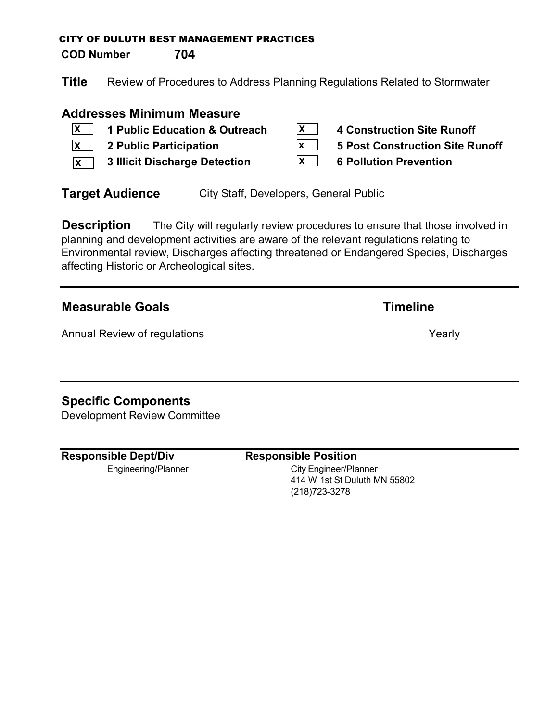**COD Number 704**

**Title** Review of Procedures to Address Planning Regulations Related to Stormwater

**X x**

## **Addresses Minimum Measure**

- **1 Public Education & Outreach X**
- **X**
- **3 Illicit Discharge Detection 6 Pollution Prevention X**

| <b>4 Construction Site Runoff</b> |  |
|-----------------------------------|--|
|                                   |  |

- **2 Public Participation 5 Post Construction Site Runoff**
	- **X**

**Target Audience** City Staff, Developers, General Public

**Description** The City will regularly review procedures to ensure that those involved in planning and development activities are aware of the relevant regulations relating to Environmental review, Discharges affecting threatened or Endangered Species, Discharges affecting Historic or Archeological sites.

## **Measurable Goals Timeline**

Annual Review of regulations **Yearly** Yearly

# **Specific Components**

Development Review Committee

**Responsible Dept/Div Responsible Position**

Engineering/Planner City Engineer/Planner 414 W 1st St Duluth MN 55802 (218)723-3278